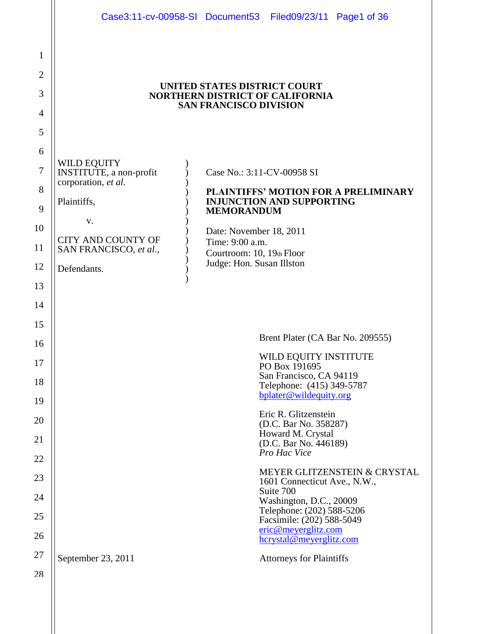|                                                                                                |                                                                                                                                                          | Case3:11-cv-00958-SI Document53 Filed09/23/11 Page1 of 36                                                                                                                                                                                                                                                                                                                                                                                                                                                                                          |  |  |  |  |
|------------------------------------------------------------------------------------------------|----------------------------------------------------------------------------------------------------------------------------------------------------------|----------------------------------------------------------------------------------------------------------------------------------------------------------------------------------------------------------------------------------------------------------------------------------------------------------------------------------------------------------------------------------------------------------------------------------------------------------------------------------------------------------------------------------------------------|--|--|--|--|
| $\mathbf{1}$<br>$\overline{2}$<br>3                                                            |                                                                                                                                                          | UNITED STATES DISTRICT COURT<br><b>NORTHERN DISTRICT OF CALIFORNIA</b>                                                                                                                                                                                                                                                                                                                                                                                                                                                                             |  |  |  |  |
| 4<br>5                                                                                         | <b>SAN FRANCISCO DIVISION</b>                                                                                                                            |                                                                                                                                                                                                                                                                                                                                                                                                                                                                                                                                                    |  |  |  |  |
| 6<br>7<br>8<br>9<br>10<br>11<br>12<br>13<br>14<br>15<br>16<br>17<br>18<br>19<br>20<br>21<br>22 | WILD EQUITY<br>INSTITUTE, a non-profit<br>corporation, et al.<br>Plaintiffs,<br>V.<br><b>CITY AND COUNTY OF</b><br>SAN FRANCISCO, et al.,<br>Defendants. | Case No.: 3:11-CV-00958 SI<br>PLAINTIFFS' MOTION FOR A PRELIMINARY<br><b>INJUNCTION AND SUPPORTING</b><br><b>MEMORANDUM</b><br>Date: November 18, 2011<br>Time: 9:00 a.m.<br>Courtroom: 10, 19th Floor<br>Judge: Hon. Susan Illston<br>Brent Plater (CA Bar No. 209555)<br>WILD EQUITY INSTITUTE<br>PO Box 191695<br>San Francisco, CA 94119<br>Telephone: (415) 349-5787<br>bplater@wildequity.org<br>Eric R. Glitzenstein<br>(D.C. Bar No. 358287)<br>Howard M. Crystal<br>(D.C. Bar No. 446189)<br>Pro Hac Vice<br>MEYER GLITZENSTEIN & CRYSTAL |  |  |  |  |
| 23<br>24<br>25<br>26                                                                           |                                                                                                                                                          | 1601 Connecticut Ave., N.W.,<br>Suite 700<br>Washington, D.C., 20009<br>Telephone: (202) 588-5206<br>Facsimile: (202) 588-5049<br>eric@meverglitz.com<br>hcrystal@meyerglitz.com                                                                                                                                                                                                                                                                                                                                                                   |  |  |  |  |
| 27<br>28                                                                                       | September 23, 2011                                                                                                                                       | <b>Attorneys for Plaintiffs</b>                                                                                                                                                                                                                                                                                                                                                                                                                                                                                                                    |  |  |  |  |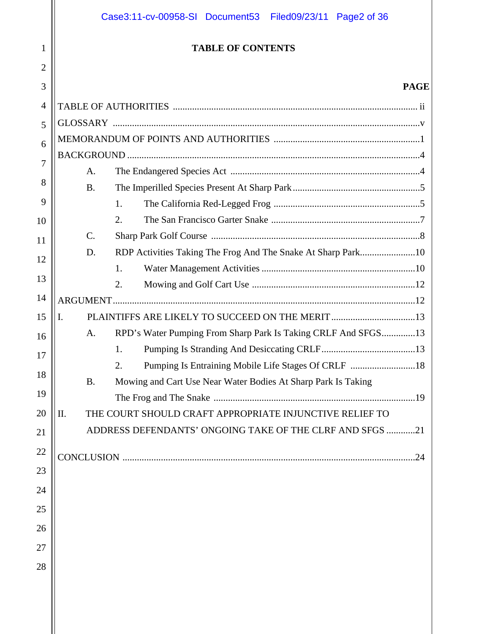# **TABLE OF CONTENTS**

1

2

# **PAGE**

| 3 |                                                                            | <b>PAGE</b> |
|---|----------------------------------------------------------------------------|-------------|
| 4 |                                                                            |             |
|   |                                                                            |             |
|   |                                                                            |             |
|   |                                                                            |             |
|   | A.                                                                         |             |
|   | <b>B.</b>                                                                  |             |
|   | 1.                                                                         |             |
|   | 2.                                                                         |             |
|   | $C$ .                                                                      |             |
|   | D.                                                                         |             |
|   | $\mathbf{1}$ .                                                             |             |
|   | 2.                                                                         |             |
|   |                                                                            |             |
|   | PLAINTIFFS ARE LIKELY TO SUCCEED ON THE MERIT 13<br>I.                     |             |
|   | RPD's Water Pumping From Sharp Park Is Taking CRLF And SFGS13<br>A.        |             |
|   | 1.                                                                         |             |
|   | Pumping Is Entraining Mobile Life Stages Of CRLF 18<br>2.                  |             |
|   | Mowing and Cart Use Near Water Bodies At Sharp Park Is Taking<br><b>B.</b> |             |
|   |                                                                            |             |
|   | THE COURT SHOULD CRAFT APPROPRIATE INJUNCTIVE RELIEF TO<br>II.             |             |
|   | ADDRESS DEFENDANTS' ONGOING TAKE OF THE CLRF AND SFGS 21                   |             |
|   | <b>CONCLUSION</b>                                                          | 24          |
|   |                                                                            |             |
|   |                                                                            |             |
|   |                                                                            |             |
|   |                                                                            |             |
|   |                                                                            |             |
|   |                                                                            |             |
|   |                                                                            |             |
|   |                                                                            |             |
|   |                                                                            |             |
|   |                                                                            |             |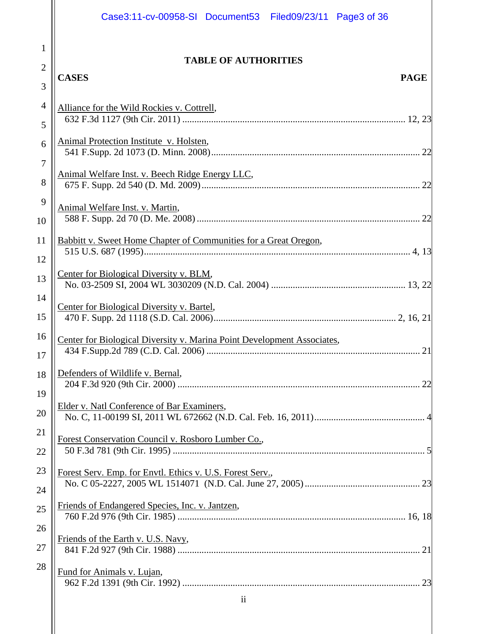|                                | Case3:11-cv-00958-SI Document53 Filed09/23/11 Page3 of 36                                                    |  |
|--------------------------------|--------------------------------------------------------------------------------------------------------------|--|
| $\mathbf{1}$<br>$\overline{2}$ | <b>TABLE OF AUTHORITIES</b><br><b>CASES</b><br><b>PAGE</b>                                                   |  |
| 3<br>$\overline{4}$<br>5       | Alliance for the Wild Rockies v. Cottrell,                                                                   |  |
| 6<br>$\overline{7}$            | Animal Protection Institute v. Holsten,                                                                      |  |
| 8<br>9                         | Animal Welfare Inst. v. Beech Ridge Energy LLC,                                                              |  |
| 10<br>11                       | Animal Welfare Inst. v. Martin,<br>Babbitt v. Sweet Home Chapter of Communities for a Great Oregon,          |  |
| 12<br>13                       | Center for Biological Diversity v. BLM,                                                                      |  |
| 14<br>15                       | Center for Biological Diversity v. Bartel,                                                                   |  |
| 16<br>17                       | Center for Biological Diversity v. Marina Point Development Associates,                                      |  |
| 18<br>19                       | Defenders of Wildlife v. Bernal,<br>22                                                                       |  |
| 20<br>21                       | Elder v. Natl Conference of Bar Examiners,                                                                   |  |
| 22<br>23                       | Forest Conservation Council v. Rosboro Lumber Co.,                                                           |  |
| 24<br>25                       | Forest Serv. Emp. for Envtl. Ethics v. U.S. Forest Serv.,<br>Friends of Endangered Species, Inc. v. Jantzen, |  |
| 26                             | Friends of the Earth v. U.S. Navy,                                                                           |  |
| 27<br>28                       | Fund for Animals v. Lujan,                                                                                   |  |
|                                | $\ddot{\mathbf{i}}$                                                                                          |  |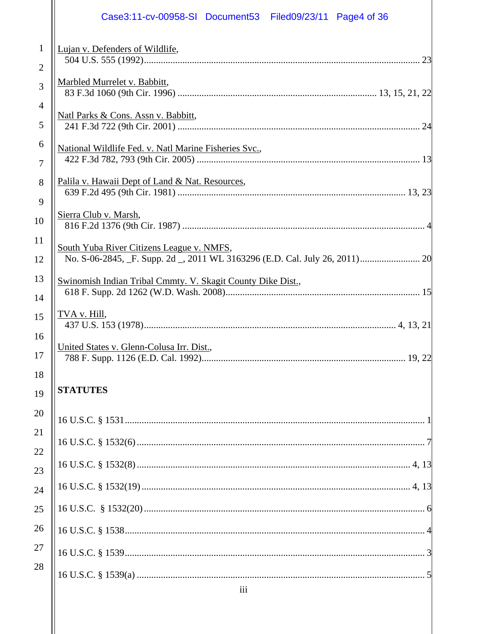|                                | Case3:11-cv-00958-SI Document53 Filed09/23/11 Page4 of 36                       |
|--------------------------------|---------------------------------------------------------------------------------|
| $\mathbf{1}$<br>$\overline{2}$ | Lujan v. Defenders of Wildlife,                                                 |
| 3                              | Marbled Murrelet v. Babbitt,                                                    |
| $\overline{4}$<br>5            | Natl Parks & Cons. Assn v. Babbitt,                                             |
| 6<br>$\overline{7}$            | National Wildlife Fed. v. Natl Marine Fisheries Svc.,                           |
| 8<br>9                         | Palila v. Hawaii Dept of Land & Nat. Resources,                                 |
| 10                             | Sierra Club v. Marsh,                                                           |
| 11<br>12                       | South Yuba River Citizens League v. NMFS,                                       |
| 13<br>14                       | Swinomish Indian Tribal Cmmty. V. Skagit County Dike Dist.,                     |
| 15                             | <u>TVA v. Hill,</u>                                                             |
| 16<br>17                       | United States v. Glenn-Colusa Irr. Dist.,<br>788 F. Supp. 1126 (E.D. Cal. 1992) |
| 18<br>19                       | <b>STATUTES</b>                                                                 |
| 20<br>21                       |                                                                                 |
| 22                             |                                                                                 |
| 23                             |                                                                                 |
| 24<br>25                       |                                                                                 |
| 26                             |                                                                                 |
| 27                             |                                                                                 |
| 28                             | iii                                                                             |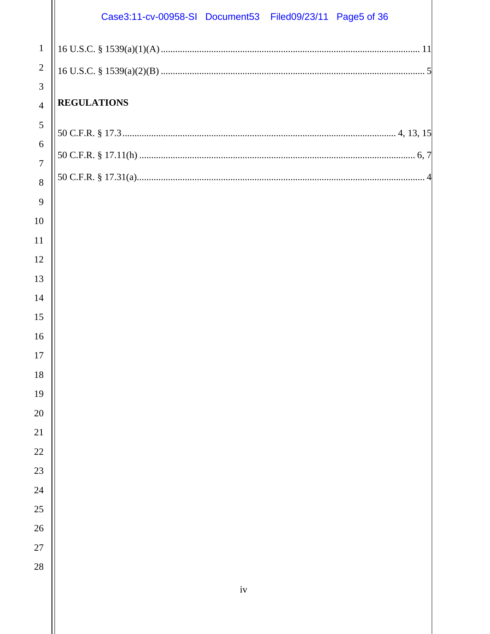# Case3:11-cv-00958-SI Document53 Filed09/23/11 Page5 of 36

|                     | Case3:11-cv-00958-SI Document53 Filed09/23/11 Page5 of 36 |
|---------------------|-----------------------------------------------------------|
| $\mathbf{1}$        |                                                           |
| $\overline{2}$      |                                                           |
| 3                   |                                                           |
| $\overline{4}$      | <b>REGULATIONS</b>                                        |
| $\mathfrak{S}$      |                                                           |
| 6                   |                                                           |
| $\overline{7}$<br>8 |                                                           |
| 9                   |                                                           |
| 10                  |                                                           |
| 11                  |                                                           |
| 12                  |                                                           |
| 13                  |                                                           |
| 14                  |                                                           |
| 15                  |                                                           |
| 16                  |                                                           |
| 17                  |                                                           |
| 18                  |                                                           |
| 19                  |                                                           |
| $20\,$              |                                                           |
| $21\,$              |                                                           |
| 22                  |                                                           |
| 23                  |                                                           |
| 24                  |                                                           |
| 25                  |                                                           |
| 26                  |                                                           |
| 27                  |                                                           |
| 28                  |                                                           |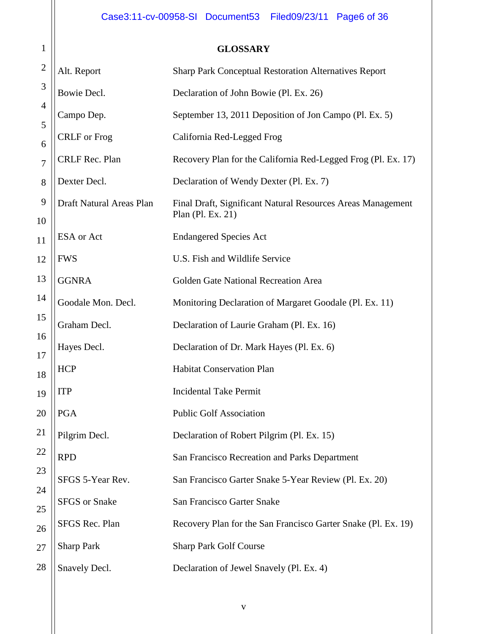# **GLOSSARY**

| $\overline{c}$                   | Alt. Report              | Sharp Park Conceptual Restoration Alternatives Report                            |
|----------------------------------|--------------------------|----------------------------------------------------------------------------------|
| $\overline{\mathbf{3}}$          | Bowie Decl.              | Declaration of John Bowie (Pl. Ex. 26)                                           |
| 4<br>5                           | Campo Dep.               | September 13, 2011 Deposition of Jon Campo (Pl. Ex. 5)                           |
| б                                | <b>CRLF</b> or Frog      | California Red-Legged Frog                                                       |
| 7                                | CRLF Rec. Plan           | Recovery Plan for the California Red-Legged Frog (Pl. Ex. 17)                    |
| 8                                | Dexter Decl.             | Declaration of Wendy Dexter (Pl. Ex. 7)                                          |
| $\overline{9}$<br>$\overline{0}$ | Draft Natural Areas Plan | Final Draft, Significant Natural Resources Areas Management<br>Plan (Pl. Ex. 21) |
| $\mathbf 1$                      | ESA or Act               | <b>Endangered Species Act</b>                                                    |
| $\overline{c}$                   | <b>FWS</b>               | U.S. Fish and Wildlife Service                                                   |
| $\overline{\mathbf{3}}$          | <b>GGNRA</b>             | Golden Gate National Recreation Area                                             |
| 4                                | Goodale Mon. Decl.       | Monitoring Declaration of Margaret Goodale (Pl. Ex. 11)                          |
| 5                                | Graham Decl.             | Declaration of Laurie Graham (Pl. Ex. 16)                                        |
| б<br>7                           | Hayes Decl.              | Declaration of Dr. Mark Hayes (Pl. Ex. 6)                                        |
| 8                                | <b>HCP</b>               | <b>Habitat Conservation Plan</b>                                                 |
| 9                                | <b>ITP</b>               | <b>Incidental Take Permit</b>                                                    |
| D                                | PGA                      | <b>Public Golf Association</b>                                                   |
| 1                                | Pilgrim Decl.            | Declaration of Robert Pilgrim (Pl. Ex. 15)                                       |
| $\overline{c}$                   | <b>RPD</b>               | San Francisco Recreation and Parks Department                                    |
| 3                                | SFGS 5-Year Rev.         | San Francisco Garter Snake 5-Year Review (Pl. Ex. 20)                            |
| 4<br>5                           | <b>SFGS</b> or Snake     | San Francisco Garter Snake                                                       |
| б                                | SFGS Rec. Plan           | Recovery Plan for the San Francisco Garter Snake (Pl. Ex. 19)                    |
| 7                                | <b>Sharp Park</b>        | <b>Sharp Park Golf Course</b>                                                    |
| 8                                | Snavely Decl.            | Declaration of Jewel Snavely (Pl. Ex. 4)                                         |
|                                  |                          |                                                                                  |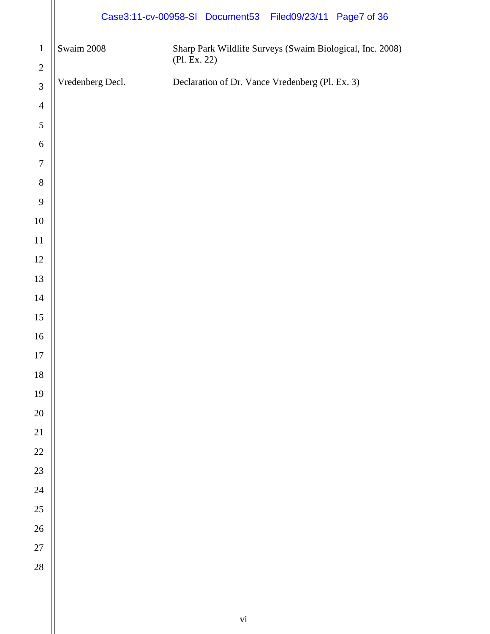|                           | Case3:11-cv-00958-SI Document53 Filed09/23/11 Page7 of 36 |              |                                                 |                                                           |
|---------------------------|-----------------------------------------------------------|--------------|-------------------------------------------------|-----------------------------------------------------------|
| $\mathbf 1$<br>$\sqrt{2}$ | Swaim 2008                                                | (Pl. Ex. 22) |                                                 | Sharp Park Wildlife Surveys (Swaim Biological, Inc. 2008) |
| $\mathfrak{Z}$            | Vredenberg Decl.                                          |              | Declaration of Dr. Vance Vredenberg (Pl. Ex. 3) |                                                           |
| $\overline{4}$            |                                                           |              |                                                 |                                                           |
| $\sqrt{5}$                |                                                           |              |                                                 |                                                           |
| $\boldsymbol{6}$          |                                                           |              |                                                 |                                                           |
| $\boldsymbol{7}$          |                                                           |              |                                                 |                                                           |
| $8\,$                     |                                                           |              |                                                 |                                                           |
| $\overline{9}$            |                                                           |              |                                                 |                                                           |
| $10\,$                    |                                                           |              |                                                 |                                                           |
| $11\,$                    |                                                           |              |                                                 |                                                           |
| 12                        |                                                           |              |                                                 |                                                           |
| 13                        |                                                           |              |                                                 |                                                           |
| 14                        |                                                           |              |                                                 |                                                           |
| 15                        |                                                           |              |                                                 |                                                           |
| 16                        |                                                           |              |                                                 |                                                           |
| 17                        |                                                           |              |                                                 |                                                           |
| $18\,$                    |                                                           |              |                                                 |                                                           |
| 19                        |                                                           |              |                                                 |                                                           |
| 20                        |                                                           |              |                                                 |                                                           |
| $\overline{21}$           |                                                           |              |                                                 |                                                           |
| 22                        |                                                           |              |                                                 |                                                           |
| 23                        |                                                           |              |                                                 |                                                           |
| 24                        |                                                           |              |                                                 |                                                           |
| 25                        |                                                           |              |                                                 |                                                           |
| $26\text{ }$              |                                                           |              |                                                 |                                                           |
| 27                        |                                                           |              |                                                 |                                                           |
| 28                        |                                                           |              |                                                 |                                                           |
|                           |                                                           |              |                                                 |                                                           |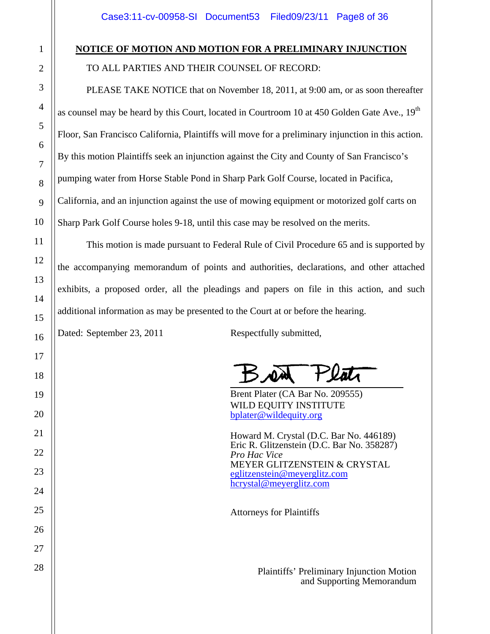# **NOTICE OF MOTION AND MOTION FOR A PRELIMINARY INJUNCTION**

TO ALL PARTIES AND THEIR COUNSEL OF RECORD:

 PLEASE TAKE NOTICE that on November 18, 2011, at 9:00 am, or as soon thereafter as counsel may be heard by this Court, located in Courtroom 10 at 450 Golden Gate Ave.,  $19<sup>th</sup>$ Floor, San Francisco California, Plaintiffs will move for a preliminary injunction in this action. By this motion Plaintiffs seek an injunction against the City and County of San Francisco's pumping water from Horse Stable Pond in Sharp Park Golf Course, located in Pacifica, California, and an injunction against the use of mowing equipment or motorized golf carts on Sharp Park Golf Course holes 9-18, until this case may be resolved on the merits.

 This motion is made pursuant to Federal Rule of Civil Procedure 65 and is supported by the accompanying memorandum of points and authorities, declarations, and other attached exhibits, a proposed order, all the pleadings and papers on file in this action, and such additional information as may be presented to the Court at or before the hearing.

Dated: September 23, 2011 Respectfully submitted,

Brent Plater (CA Bar No. 209555) WILD EQUITY INSTITUTE bplater@wildequity.org

Howard M. Crystal (D.C. Bar No. 446189) Eric R. Glitzenstein (D.C. Bar No. 358287) *Pro Hac Vice* MEYER GLITZENSTEIN & CRYSTAL eglitzenstein@meyerglitz.com hcrystal@meyerglitz.com

Attorneys for Plaintiffs

 Plaintiffs' Preliminary Injunction Motion and Supporting Memorandum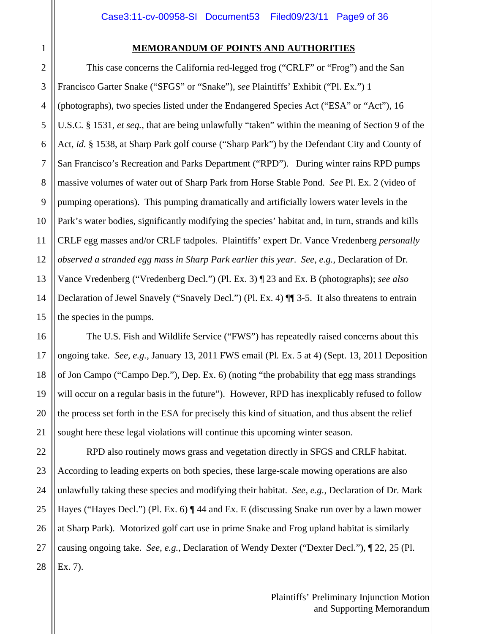#### **MEMORANDUM OF POINTS AND AUTHORITIES**

 This case concerns the California red-legged frog ("CRLF" or "Frog") and the San Francisco Garter Snake ("SFGS" or "Snake"), *see* Plaintiffs' Exhibit ("Pl. Ex.") 1 (photographs), two species listed under the Endangered Species Act ("ESA" or "Act"), 16 U.S.C. § 1531, *et seq.*, that are being unlawfully "taken" within the meaning of Section 9 of the Act, *id.* § 1538, at Sharp Park golf course ("Sharp Park") by the Defendant City and County of San Francisco's Recreation and Parks Department ("RPD"). During winter rains RPD pumps massive volumes of water out of Sharp Park from Horse Stable Pond. *See* Pl. Ex. 2 (video of pumping operations). This pumping dramatically and artificially lowers water levels in the Park's water bodies, significantly modifying the species' habitat and, in turn, strands and kills CRLF egg masses and/or CRLF tadpoles. Plaintiffs' expert Dr. Vance Vredenberg *personally observed a stranded egg mass in Sharp Park earlier this year*. *See*, *e.g.*, Declaration of Dr. Vance Vredenberg ("Vredenberg Decl.") (Pl. Ex. 3) ¶ 23 and Ex. B (photographs); *see also* Declaration of Jewel Snavely ("Snavely Decl.") (Pl. Ex. 4) ¶¶ 3-5. It also threatens to entrain the species in the pumps.

 The U.S. Fish and Wildlife Service ("FWS") has repeatedly raised concerns about this ongoing take. *See, e.g.*, January 13, 2011 FWS email (Pl*.* Ex. 5 at 4) (Sept. 13, 2011 Deposition of Jon Campo ("Campo Dep."), Dep. Ex. 6) (noting "the probability that egg mass strandings will occur on a regular basis in the future"). However, RPD has inexplicably refused to follow the process set forth in the ESA for precisely this kind of situation, and thus absent the relief sought here these legal violations will continue this upcoming winter season.

 RPD also routinely mows grass and vegetation directly in SFGS and CRLF habitat. According to leading experts on both species, these large-scale mowing operations are also unlawfully taking these species and modifying their habitat. *See, e.g.*, Declaration of Dr. Mark Hayes ("Hayes Decl.") (Pl. Ex. 6) ¶ 44 and Ex. E (discussing Snake run over by a lawn mower at Sharp Park). Motorized golf cart use in prime Snake and Frog upland habitat is similarly causing ongoing take. *See, e.g.,* Declaration of Wendy Dexter ("Dexter Decl."), ¶ 22, 25 (Pl. Ex. 7).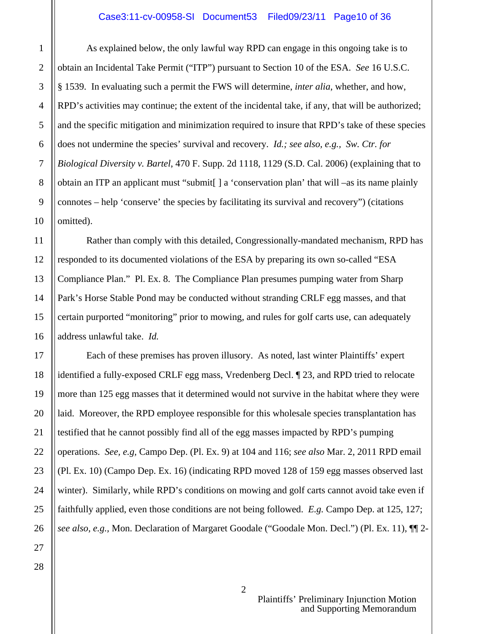As explained below, the only lawful way RPD can engage in this ongoing take is to obtain an Incidental Take Permit ("ITP") pursuant to Section 10 of the ESA. *See* 16 U.S.C. § 1539. In evaluating such a permit the FWS will determine, *inter alia*, whether, and how, RPD's activities may continue; the extent of the incidental take, if any, that will be authorized; and the specific mitigation and minimization required to insure that RPD's take of these species does not undermine the species' survival and recovery. *Id.; see also, e.g., Sw. Ctr. for Biological Diversity v. Bartel*, 470 F. Supp. 2d 1118, 1129 (S.D. Cal. 2006) (explaining that to obtain an ITP an applicant must "submit[ ] a 'conservation plan' that will –as its name plainly connotes – help 'conserve' the species by facilitating its survival and recovery") (citations omitted).

 Rather than comply with this detailed, Congressionally-mandated mechanism, RPD has responded to its documented violations of the ESA by preparing its own so-called "ESA Compliance Plan." Pl. Ex. 8. The Compliance Plan presumes pumping water from Sharp Park's Horse Stable Pond may be conducted without stranding CRLF egg masses, and that certain purported "monitoring" prior to mowing, and rules for golf carts use, can adequately address unlawful take. *Id.*

 Each of these premises has proven illusory. As noted, last winter Plaintiffs' expert identified a fully-exposed CRLF egg mass, Vredenberg Decl. ¶ 23, and RPD tried to relocate more than 125 egg masses that it determined would not survive in the habitat where they were laid. Moreover, the RPD employee responsible for this wholesale species transplantation has testified that he cannot possibly find all of the egg masses impacted by RPD's pumping operations. *See, e.g,* Campo Dep. (Pl. Ex. 9) at 104 and 116; *see also* Mar. 2, 2011 RPD email (Pl. Ex. 10) (Campo Dep. Ex. 16) (indicating RPD moved 128 of 159 egg masses observed last winter). Similarly, while RPD's conditions on mowing and golf carts cannot avoid take even if faithfully applied, even those conditions are not being followed. *E.g.* Campo Dep. at 125, 127; *see also, e.g.,* Mon. Declaration of Margaret Goodale ("Goodale Mon. Decl.") (Pl. Ex. 11), ¶¶ 2-

1

2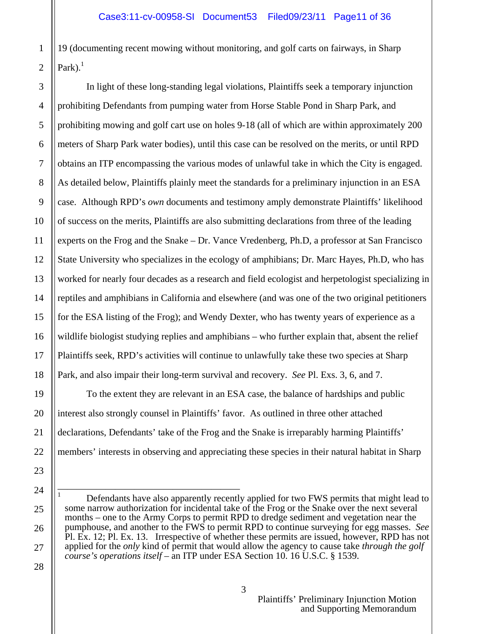19 (documenting recent mowing without monitoring, and golf carts on fairways, in Sharp Park). $<sup>1</sup>$ </sup>

 In light of these long-standing legal violations, Plaintiffs seek a temporary injunction prohibiting Defendants from pumping water from Horse Stable Pond in Sharp Park, and prohibiting mowing and golf cart use on holes 9-18 (all of which are within approximately 200 meters of Sharp Park water bodies), until this case can be resolved on the merits, or until RPD obtains an ITP encompassing the various modes of unlawful take in which the City is engaged. As detailed below, Plaintiffs plainly meet the standards for a preliminary injunction in an ESA case. Although RPD's *own* documents and testimony amply demonstrate Plaintiffs' likelihood of success on the merits, Plaintiffs are also submitting declarations from three of the leading experts on the Frog and the Snake – Dr. Vance Vredenberg, Ph.D, a professor at San Francisco State University who specializes in the ecology of amphibians; Dr. Marc Hayes, Ph.D, who has worked for nearly four decades as a research and field ecologist and herpetologist specializing in reptiles and amphibians in California and elsewhere (and was one of the two original petitioners for the ESA listing of the Frog); and Wendy Dexter, who has twenty years of experience as a wildlife biologist studying replies and amphibians – who further explain that, absent the relief Plaintiffs seek, RPD's activities will continue to unlawfully take these two species at Sharp Park, and also impair their long-term survival and recovery. *See* Pl. Exs. 3, 6, and 7.

 To the extent they are relevant in an ESA case, the balance of hardships and public interest also strongly counsel in Plaintiffs' favor. As outlined in three other attached declarations, Defendants' take of the Frog and the Snake is irreparably harming Plaintiffs' members' interests in observing and appreciating these species in their natural habitat in Sharp

——————————————————— 1 Defendants have also apparently recently applied for two FWS permits that might lead to some narrow authorization for incidental take of the Frog or the Snake over the next several months – one to the Army Corps to permit RPD to dredge sediment and vegetation near the pumphouse, and another to the FWS to permit RPD to continue surveying for egg masses. *See* Pl. Ex. 12; Pl. Ex. 13. Irrespective of whether these permits are issued, however, RPD has not applied for the *only* kind of permit that would allow the agency to cause take *through the golf course's operations itself* – an ITP under ESA Section 10. 16 U.S.C. § 1539.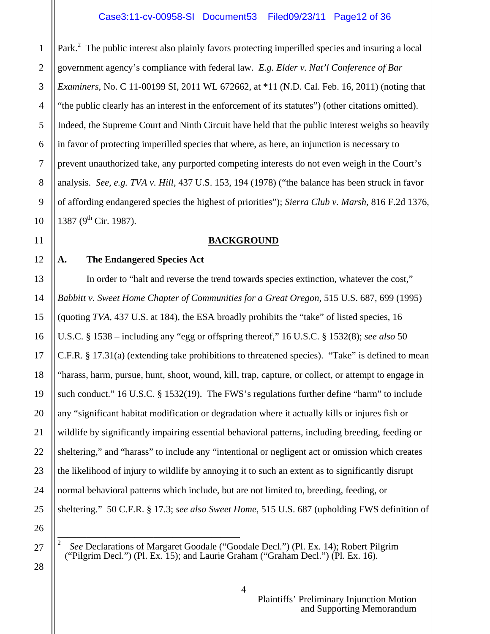Park.<sup>2</sup> The public interest also plainly favors protecting imperilled species and insuring a local government agency's compliance with federal law. *E.g. Elder v. Nat'l Conference of Bar Examiners*, No. C 11-00199 SI, 2011 WL 672662, at \*11 (N.D. Cal. Feb. 16, 2011) (noting that "the public clearly has an interest in the enforcement of its statutes") (other citations omitted). Indeed, the Supreme Court and Ninth Circuit have held that the public interest weighs so heavily in favor of protecting imperilled species that where, as here, an injunction is necessary to prevent unauthorized take, any purported competing interests do not even weigh in the Court's analysis. *See, e.g. TVA v. Hill*, 437 U.S. 153, 194 (1978) ("the balance has been struck in favor of affording endangered species the highest of priorities"); *Sierra Club v. Marsh,* 816 F.2d 1376, 1387 (9<sup>th</sup> Cir. 1987).

### **BACKGROUND**

# **A. The Endangered Species Act**

In order to "halt and reverse the trend towards species extinction, whatever the cost," *Babbitt v. Sweet Home Chapter of Communities for a Great Oregon*, 515 U.S. 687, 699 (1995) (quoting *TVA*, 437 U.S. at 184), the ESA broadly prohibits the "take" of listed species, 16 U.S.C. § 1538 – including any "egg or offspring thereof," 16 U.S.C. § 1532(8); *see also* 50 C.F.R. § 17.31(a) (extending take prohibitions to threatened species). "Take" is defined to mean "harass, harm, pursue, hunt, shoot, wound, kill, trap, capture, or collect, or attempt to engage in such conduct." 16 U.S.C. § 1532(19). The FWS's regulations further define "harm" to include any "significant habitat modification or degradation where it actually kills or injures fish or wildlife by significantly impairing essential behavioral patterns, including breeding, feeding or sheltering," and "harass" to include any "intentional or negligent act or omission which creates the likelihood of injury to wildlife by annoying it to such an extent as to significantly disrupt normal behavioral patterns which include, but are not limited to, breeding, feeding, or sheltering." 50 C.F.R. § 17.3; *see also Sweet Home*, 515 U.S. 687 (upholding FWS definition of

——————————————————— 2 *See* Declarations of Margaret Goodale ("Goodale Decl.") (Pl. Ex. 14); Robert Pilgrim ("Pilgrim Decl.") (Pl. Ex. 15); and Laurie Graham ("Graham Decl.") (Pl. Ex. 16).

1

2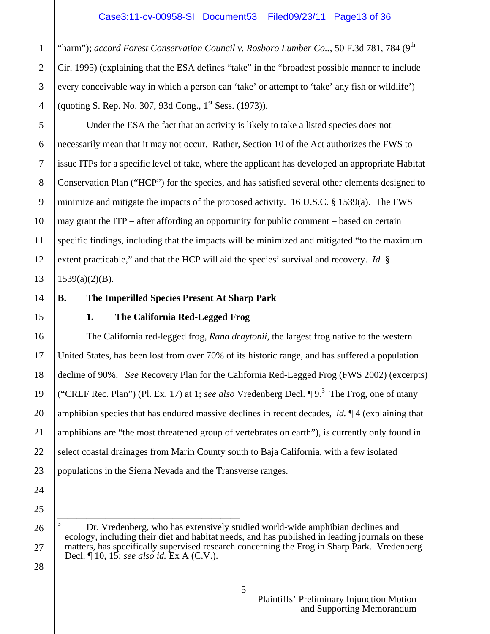"harm"); *accord Forest Conservation Council v. Rosboro Lumber Co..*, 50 F.3d 781, 784 (9<sup>th</sup> Cir. 1995) (explaining that the ESA defines "take" in the "broadest possible manner to include every conceivable way in which a person can 'take' or attempt to 'take' any fish or wildlife') (quoting S. Rep. No. 307, 93d Cong.,  $1^{st}$  Sess. (1973)).

 Under the ESA the fact that an activity is likely to take a listed species does not necessarily mean that it may not occur. Rather, Section 10 of the Act authorizes the FWS to issue ITPs for a specific level of take, where the applicant has developed an appropriate Habitat Conservation Plan ("HCP") for the species, and has satisfied several other elements designed to minimize and mitigate the impacts of the proposed activity. 16 U.S.C. § 1539(a). The FWS may grant the ITP – after affording an opportunity for public comment – based on certain specific findings, including that the impacts will be minimized and mitigated "to the maximum extent practicable," and that the HCP will aid the species' survival and recovery. *Id.* §  $1539(a)(2)(B)$ .

# **B. The Imperilled Species Present At Sharp Park**

#### **1. The California Red-Legged Frog**

The California red-legged frog, *Rana draytonii*, the largest frog native to the western United States, has been lost from over 70% of its historic range, and has suffered a population decline of 90%. *See* Recovery Plan for the California Red-Legged Frog (FWS 2002) (excerpts) ("CRLF Rec. Plan") (Pl. Ex. 17) at 1; *see also* Vredenberg Decl.  $\P 9$ .<sup>3</sup> The Frog, one of many amphibian species that has endured massive declines in recent decades, *id.* ¶ 4 (explaining that amphibians are "the most threatened group of vertebrates on earth"), is currently only found in select coastal drainages from Marin County south to Baja California, with a few isolated populations in the Sierra Nevada and the Transverse ranges.

1

<sup>———————————————————</sup>  3 Dr. Vredenberg, who has extensively studied world-wide amphibian declines and ecology, including their diet and habitat needs, and has published in leading journals on these matters, has specifically supervised research concerning the Frog in Sharp Park. Vredenberg Decl. ¶ 10, 15; *see also id.* Ex A (C.V.).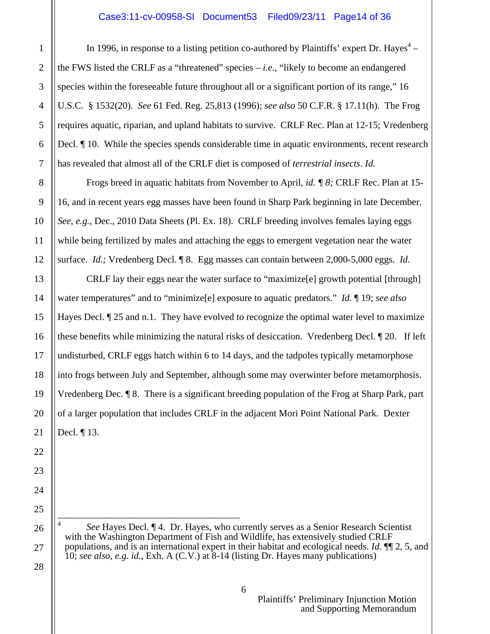In 1996, in response to a listing petition co-authored by Plaintiffs' expert Dr. Hayes<sup>4</sup> – the FWS listed the CRLF as a "threatened" species – *i.e.*, "likely to become an endangered species within the foreseeable future throughout all or a significant portion of its range," 16 U.S.C. § 1532(20). *See* 61 Fed. Reg. 25,813 (1996); *see also* 50 C.F.R. § 17.11(h). The Frog requires aquatic, riparian, and upland habitats to survive. CRLF Rec. Plan at 12-15; Vredenberg Decl.  $\P$  10. While the species spends considerable time in aquatic environments, recent research has revealed that almost all of the CRLF diet is composed of *terrestrial insects*. *Id.*

 Frogs breed in aquatic habitats from November to April, *id. ¶ 8;* CRLF Rec. Plan at 15- 16, and in recent years egg masses have been found in Sharp Park beginning in late December. *See, e.g.*, Dec., 2010 Data Sheets (Pl. Ex. 18). CRLF breeding involves females laying eggs while being fertilized by males and attaching the eggs to emergent vegetation near the water surface. *Id.;* Vredenberg Decl. ¶ 8. Egg masses can contain between 2,000-5,000 eggs. *Id.* 

 CRLF lay their eggs near the water surface to "maximize[e] growth potential [through] water temperatures" and to "minimize[e] exposure to aquatic predators." *Id.* ¶ 19; *see also* Hayes Decl.  $\sqrt{25}$  and n.1. They have evolved to recognize the optimal water level to maximize these benefits while minimizing the natural risks of desiccation. Vredenberg Decl. ¶ 20. If left undisturbed, CRLF eggs hatch within 6 to 14 days, and the tadpoles typically metamorphose into frogs between July and September, although some may overwinter before metamorphosis. Vredenberg Dec. ¶ 8. There is a significant breeding population of the Frog at Sharp Park, part of a larger population that includes CRLF in the adjacent Mori Point National Park. Dexter Decl. ¶ 13.

——————————————————— 4 *See* Hayes Decl. ¶ 4. Dr. Hayes, who currently serves as a Senior Research Scientist with the Washington Department of Fish and Wildlife, has extensively studied CRLF populations, and is an international expert in their habitat and ecological needs. *Id.* ¶¶ 2, 5, and 10; *see also, e.g. id.*, Exh. A (C.V.) at 8-14 (listing Dr. Hayes many publications)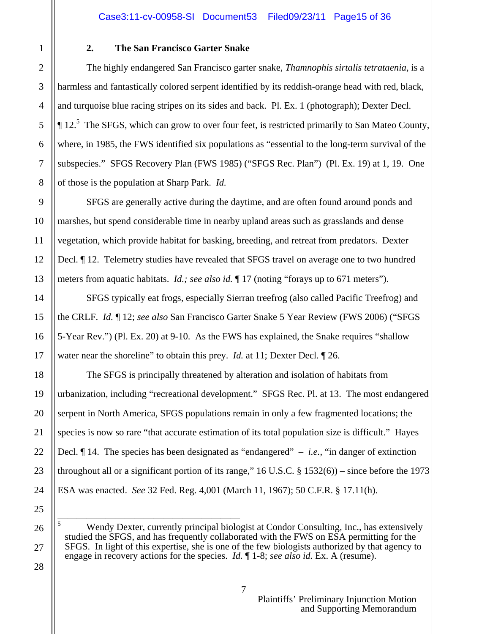### **2. The San Francisco Garter Snake**

 The highly endangered San Francisco garter snake, *Thamnophis sirtalis tetrataenia*, is a harmless and fantastically colored serpent identified by its reddish-orange head with red, black, and turquoise blue racing stripes on its sides and back. Pl. Ex. 1 (photograph); Dexter Decl.  $\P$  12.<sup>5</sup> The SFGS, which can grow to over four feet, is restricted primarily to San Mateo County, where, in 1985, the FWS identified six populations as "essential to the long-term survival of the subspecies." SFGS Recovery Plan (FWS 1985) ("SFGS Rec. Plan") (Pl. Ex. 19) at 1, 19. One of those is the population at Sharp Park. *Id.*

 SFGS are generally active during the daytime, and are often found around ponds and marshes, but spend considerable time in nearby upland areas such as grasslands and dense vegetation, which provide habitat for basking, breeding, and retreat from predators. Dexter Decl. ¶ 12. Telemetry studies have revealed that SFGS travel on average one to two hundred meters from aquatic habitats. *Id.; see also id.* ¶ 17 (noting "forays up to 671 meters").

 SFGS typically eat frogs, especially Sierran treefrog (also called Pacific Treefrog) and the CRLF. *Id.* ¶ 12; *see also* San Francisco Garter Snake 5 Year Review (FWS 2006) ("SFGS 5-Year Rev.") (Pl. Ex. 20) at 9-10. As the FWS has explained, the Snake requires "shallow water near the shoreline" to obtain this prey. *Id.* at 11; Dexter Decl. ¶ 26.

 The SFGS is principally threatened by alteration and isolation of habitats from urbanization, including "recreational development." SFGS Rec. Pl. at 13. The most endangered serpent in North America, SFGS populations remain in only a few fragmented locations; the species is now so rare "that accurate estimation of its total population size is difficult." Hayes Decl. ¶ 14. The species has been designated as "endangered" – *i.e.*, "in danger of extinction throughout all or a significant portion of its range,"  $16$  U.S.C. §  $1532(6)$ ) – since before the 1973 ESA was enacted. *See* 32 Fed. Reg. 4,001 (March 11, 1967); 50 C.F.R. § 17.11(h).

——————————————————— 5 Wendy Dexter, currently principal biologist at Condor Consulting, Inc., has extensively studied the SFGS, and has frequently collaborated with the FWS on ESA permitting for the SFGS. In light of this expertise, she is one of the few biologists authorized by that agency to engage in recovery actions for the species. *Id.* ¶ 1-8; *see also id.* Ex. A (resume).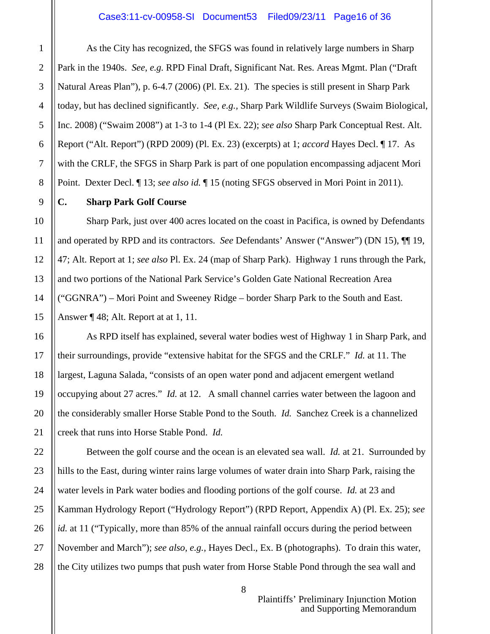As the City has recognized, the SFGS was found in relatively large numbers in Sharp Park in the 1940s. *See*, *e.g.* RPD Final Draft, Significant Nat. Res. Areas Mgmt. Plan ("Draft Natural Areas Plan"), p. 6-4.7 (2006) (Pl. Ex. 21). The species is still present in Sharp Park today, but has declined significantly. *See, e.g.,* Sharp Park Wildlife Surveys (Swaim Biological, Inc. 2008) ("Swaim 2008") at 1-3 to 1-4 (Pl Ex. 22); *see also* Sharp Park Conceptual Rest. Alt. Report ("Alt. Report") (RPD 2009) (Pl. Ex. 23) (excerpts) at 1; *accord* Hayes Decl. ¶ 17. As with the CRLF, the SFGS in Sharp Park is part of one population encompassing adjacent Mori Point. Dexter Decl. ¶ 13; *see also id.* ¶ 15 (noting SFGS observed in Mori Point in 2011).

#### **C. Sharp Park Golf Course**

Sharp Park, just over 400 acres located on the coast in Pacifica, is owned by Defendants and operated by RPD and its contractors. *See* Defendants' Answer ("Answer") (DN 15), ¶¶ 19, 47; Alt. Report at 1; *see also* Pl. Ex. 24 (map of Sharp Park). Highway 1 runs through the Park, and two portions of the National Park Service's Golden Gate National Recreation Area ("GGNRA") – Mori Point and Sweeney Ridge – border Sharp Park to the South and East. Answer ¶ 48; Alt. Report at at 1, 11.

 As RPD itself has explained, several water bodies west of Highway 1 in Sharp Park, and their surroundings, provide "extensive habitat for the SFGS and the CRLF." *Id.* at 11. The largest, Laguna Salada, "consists of an open water pond and adjacent emergent wetland occupying about 27 acres." *Id.* at 12. A small channel carries water between the lagoon and the considerably smaller Horse Stable Pond to the South. *Id.* Sanchez Creek is a channelized creek that runs into Horse Stable Pond. *Id.* 

 Between the golf course and the ocean is an elevated sea wall. *Id.* at 21. Surrounded by hills to the East, during winter rains large volumes of water drain into Sharp Park, raising the water levels in Park water bodies and flooding portions of the golf course. *Id.* at 23 and Kamman Hydrology Report ("Hydrology Report") (RPD Report, Appendix A) (Pl. Ex. 25); *see id.* at 11 ("Typically, more than 85% of the annual rainfall occurs during the period between November and March"); *see also, e.g.,* Hayes Decl., Ex. B (photographs). To drain this water, the City utilizes two pumps that push water from Horse Stable Pond through the sea wall and

8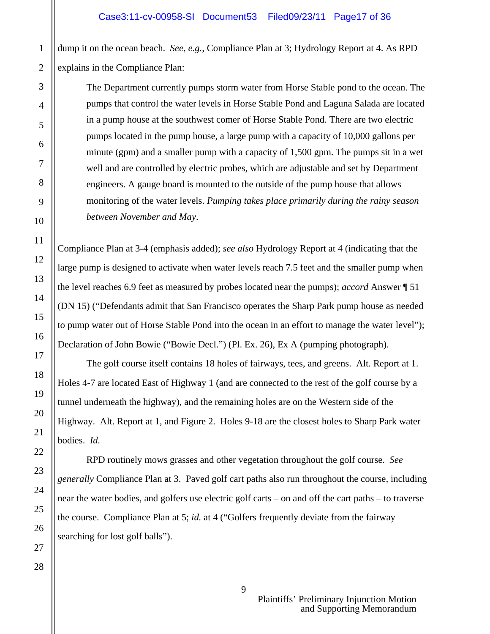dump it on the ocean beach. *See, e.g.,* Compliance Plan at 3; Hydrology Report at 4. As RPD explains in the Compliance Plan:

The Department currently pumps storm water from Horse Stable pond to the ocean. The pumps that control the water levels in Horse Stable Pond and Laguna Salada are located in a pump house at the southwest comer of Horse Stable Pond. There are two electric pumps located in the pump house, a large pump with a capacity of 10,000 gallons per minute (gpm) and a smaller pump with a capacity of 1,500 gpm. The pumps sit in a wet well and are controlled by electric probes, which are adjustable and set by Department engineers. A gauge board is mounted to the outside of the pump house that allows monitoring of the water levels. *Pumping takes place primarily during the rainy season between November and May*.

Compliance Plan at 3-4 (emphasis added); *see also* Hydrology Report at 4 (indicating that the large pump is designed to activate when water levels reach 7.5 feet and the smaller pump when the level reaches 6.9 feet as measured by probes located near the pumps); *accord* Answer ¶ 51 (DN 15) ("Defendants admit that San Francisco operates the Sharp Park pump house as needed to pump water out of Horse Stable Pond into the ocean in an effort to manage the water level"); Declaration of John Bowie ("Bowie Decl.") (Pl. Ex. 26), Ex A (pumping photograph).

 The golf course itself contains 18 holes of fairways, tees, and greens. Alt. Report at 1. Holes 4-7 are located East of Highway 1 (and are connected to the rest of the golf course by a tunnel underneath the highway), and the remaining holes are on the Western side of the Highway. Alt. Report at 1, and Figure 2. Holes 9-18 are the closest holes to Sharp Park water bodies. *Id.* 

 RPD routinely mows grasses and other vegetation throughout the golf course. *See generally* Compliance Plan at 3. Paved golf cart paths also run throughout the course, including near the water bodies, and golfers use electric golf carts – on and off the cart paths – to traverse the course. Compliance Plan at 5; *id.* at 4 ("Golfers frequently deviate from the fairway searching for lost golf balls").

 Plaintiffs' Preliminary Injunction Motion and Supporting Memorandum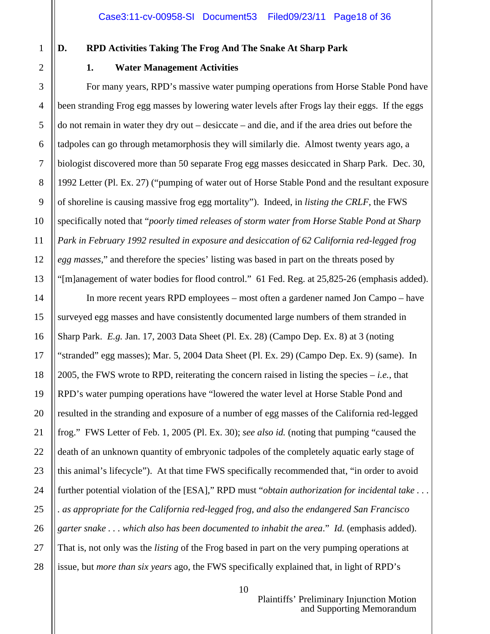1

2

3

4

5

6

7

8

9

10

11

12

13

14

15

16

17

18

19

20

21

22

23

24

25

26

27

28

# **D. RPD Activities Taking The Frog And The Snake At Sharp Park**

# **1. Water Management Activities**

 For many years, RPD's massive water pumping operations from Horse Stable Pond have been stranding Frog egg masses by lowering water levels after Frogs lay their eggs. If the eggs do not remain in water they dry out – desiccate – and die, and if the area dries out before the tadpoles can go through metamorphosis they will similarly die. Almost twenty years ago, a biologist discovered more than 50 separate Frog egg masses desiccated in Sharp Park. Dec. 30, 1992 Letter (Pl. Ex. 27) ("pumping of water out of Horse Stable Pond and the resultant exposure of shoreline is causing massive frog egg mortality"). Indeed, in *listing the CRLF*, the FWS specifically noted that "*poorly timed releases of storm water from Horse Stable Pond at Sharp Park in February 1992 resulted in exposure and desiccation of 62 California red-legged frog egg masses*," and therefore the species' listing was based in part on the threats posed by "[m]anagement of water bodies for flood control." 61 Fed. Reg. at 25,825-26 (emphasis added).

 In more recent years RPD employees – most often a gardener named Jon Campo – have surveyed egg masses and have consistently documented large numbers of them stranded in Sharp Park. *E.g.* Jan. 17, 2003 Data Sheet (Pl. Ex. 28) (Campo Dep. Ex. 8) at 3 (noting "stranded" egg masses); Mar. 5, 2004 Data Sheet (Pl. Ex. 29) (Campo Dep. Ex. 9) (same). In 2005, the FWS wrote to RPD, reiterating the concern raised in listing the species – *i.e.*, that RPD's water pumping operations have "lowered the water level at Horse Stable Pond and resulted in the stranding and exposure of a number of egg masses of the California red-legged frog." FWS Letter of Feb. 1, 2005 (Pl. Ex. 30); *see also id.* (noting that pumping "caused the death of an unknown quantity of embryonic tadpoles of the completely aquatic early stage of this animal's lifecycle"). At that time FWS specifically recommended that, "in order to avoid further potential violation of the [ESA]," RPD must "*obtain authorization for incidental take . . . . as appropriate for the California red-legged frog, and also the endangered San Francisco garter snake . . . which also has been documented to inhabit the area*." *Id.* (emphasis added). That is, not only was the *listing* of the Frog based in part on the very pumping operations at issue, but *more than six years* ago, the FWS specifically explained that, in light of RPD's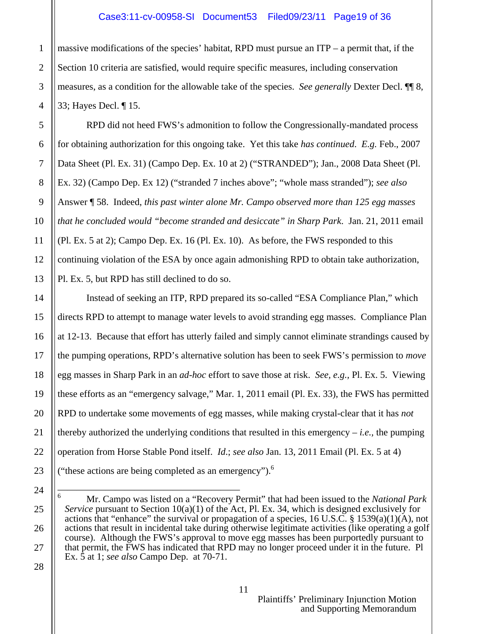massive modifications of the species' habitat, RPD must pursue an ITP – a permit that, if the Section 10 criteria are satisfied, would require specific measures, including conservation measures, as a condition for the allowable take of the species. *See generally* Dexter Decl. ¶¶ 8, 33; Hayes Decl. ¶ 15.

 RPD did not heed FWS's admonition to follow the Congressionally-mandated process for obtaining authorization for this ongoing take. Yet this take *has continued*. *E.g.* Feb., 2007 Data Sheet (Pl. Ex. 31) (Campo Dep. Ex. 10 at 2) ("STRANDED"); Jan., 2008 Data Sheet (Pl. Ex. 32) (Campo Dep. Ex 12) ("stranded 7 inches above"; "whole mass stranded"); *see also* Answer ¶ 58. Indeed, *this past winter alone Mr. Campo observed more than 125 egg masses that he concluded would "become stranded and desiccate" in Sharp Park*. Jan. 21, 2011 email (Pl. Ex. 5 at 2); Campo Dep. Ex. 16 (Pl. Ex. 10). As before, the FWS responded to this continuing violation of the ESA by once again admonishing RPD to obtain take authorization, Pl. Ex. 5, but RPD has still declined to do so.

 Instead of seeking an ITP, RPD prepared its so-called "ESA Compliance Plan," which directs RPD to attempt to manage water levels to avoid stranding egg masses. Compliance Plan at 12-13. Because that effort has utterly failed and simply cannot eliminate strandings caused by the pumping operations, RPD's alternative solution has been to seek FWS's permission to *move* egg masses in Sharp Park in an *ad-hoc* effort to save those at risk. *See, e.g.,* Pl. Ex. 5. Viewing these efforts as an "emergency salvage," Mar. 1, 2011 email (Pl. Ex. 33), the FWS has permitted RPD to undertake some movements of egg masses, while making crystal-clear that it has *not* thereby authorized the underlying conditions that resulted in this emergency  $-i.e.,$  the pumping operation from Horse Stable Pond itself. *Id*.; *see also* Jan. 13, 2011 Email (Pl. Ex. 5 at 4) ("these actions are being completed as an emergency"). $<sup>6</sup>$ </sup>

<sup>———————————————————</sup>  6 Mr. Campo was listed on a "Recovery Permit" that had been issued to the *National Park Service* pursuant to Section 10(a)(1) of the Act, Pl. Ex. 34, which is designed exclusively for actions that "enhance" the survival or propagation of a species, 16 U.S.C. § 1539(a)(1)(A), not actions that result in incidental take during otherwise legitimate activities (like operating a golf course). Although the FWS's approval to move egg masses has been purportedly pursuant to that permit, the FWS has indicated that RPD may no longer proceed under it in the future. Pl Ex. 5 at 1; *see also* Campo Dep. at 70-71.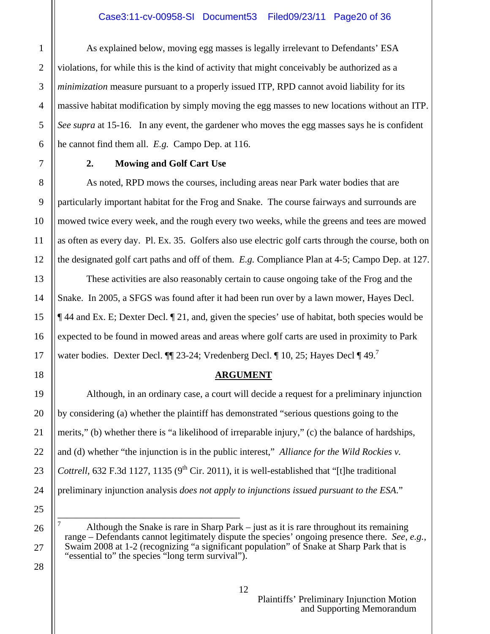As explained below, moving egg masses is legally irrelevant to Defendants' ESA violations, for while this is the kind of activity that might conceivably be authorized as a *minimization* measure pursuant to a properly issued ITP, RPD cannot avoid liability for its massive habitat modification by simply moving the egg masses to new locations without an ITP. *See supra* at 15-16. In any event, the gardener who moves the egg masses says he is confident he cannot find them all. *E.g.* Campo Dep. at 116.

#### **2. Mowing and Golf Cart Use**

 As noted, RPD mows the courses, including areas near Park water bodies that are particularly important habitat for the Frog and Snake. The course fairways and surrounds are mowed twice every week, and the rough every two weeks, while the greens and tees are mowed as often as every day. Pl. Ex. 35. Golfers also use electric golf carts through the course, both on the designated golf cart paths and off of them. *E.g.* Compliance Plan at 4-5; Campo Dep. at 127.

 These activities are also reasonably certain to cause ongoing take of the Frog and the Snake. In 2005, a SFGS was found after it had been run over by a lawn mower, Hayes Decl. ¶ 44 and Ex. E; Dexter Decl. ¶ 21, and, given the species' use of habitat, both species would be expected to be found in mowed areas and areas where golf carts are used in proximity to Park water bodies. Dexter Decl.  $\P$  23-24; Vredenberg Decl.  $\P$  10, 25; Hayes Decl  $\P$  49.<sup>7</sup>

### **ARGUMENT**

 Although, in an ordinary case, a court will decide a request for a preliminary injunction by considering (a) whether the plaintiff has demonstrated "serious questions going to the merits," (b) whether there is "a likelihood of irreparable injury," (c) the balance of hardships, and (d) whether "the injunction is in the public interest," *Alliance for the Wild Rockies v. Cottrell*, 632 F.3d 1127, 1135 ( $9<sup>th</sup>$  Cir. 2011), it is well-established that "[t]he traditional preliminary injunction analysis *does not apply to injunctions issued pursuant to the ESA*."

——————————————————— 7 Although the Snake is rare in Sharp Park – just as it is rare throughout its remaining range – Defendants cannot legitimately dispute the species' ongoing presence there. *See, e.g.*, Swaim 2008 at 1-2 (recognizing "a significant population" of Snake at Sharp Park that is "essential to" the species "long term survival").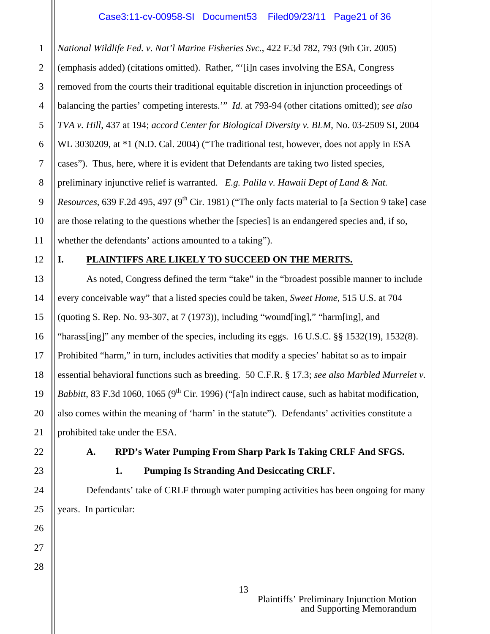*National Wildlife Fed. v. Nat'l Marine Fisheries Svc.*, 422 F.3d 782, 793 (9th Cir. 2005) (emphasis added) (citations omitted). Rather, "'[i]n cases involving the ESA, Congress removed from the courts their traditional equitable discretion in injunction proceedings of balancing the parties' competing interests.'" *Id.* at 793-94 (other citations omitted); *see also TVA v. Hill*, 437 at 194; *accord Center for Biological Diversity v. BLM*, No. 03-2509 SI, 2004 WL 3030209, at \*1 (N.D. Cal. 2004) ("The traditional test, however, does not apply in ESA cases"). Thus, here, where it is evident that Defendants are taking two listed species, preliminary injunctive relief is warranted. *E.g. Palila v. Hawaii Dept of Land & Nat. Resources*, 639 F.2d 495, 497 (9<sup>th</sup> Cir. 1981) ("The only facts material to [a Section 9 take] case are those relating to the questions whether the [species] is an endangered species and, if so, whether the defendants' actions amounted to a taking").

12

1

2

3

4

5

6

7

8

9

10

11

13

14

15

16

17

18

19

20

21

22

23

24

25

26

27

28

# **I. PLAINTIFFS ARE LIKELY TO SUCCEED ON THE MERITS.**

As noted, Congress defined the term "take" in the "broadest possible manner to include every conceivable way" that a listed species could be taken, *Sweet Home*, 515 U.S. at 704 (quoting S. Rep. No. 93-307, at  $7(1973)$ ), including "wound[ing]," "harm[ing], and "harass[ing]" any member of the species, including its eggs.  $16$  U.S.C. §§ 1532(19), 1532(8). Prohibited "harm," in turn, includes activities that modify a species' habitat so as to impair essential behavioral functions such as breeding. 50 C.F.R. § 17.3; *see also Marbled Murrelet v. Babbitt*, 83 F.3d 1060, 1065 (9<sup>th</sup> Cir. 1996) ("[a]n indirect cause, such as habitat modification, also comes within the meaning of 'harm' in the statute"). Defendants' activities constitute a prohibited take under the ESA.

# **A. RPD's Water Pumping From Sharp Park Is Taking CRLF And SFGS.**

**1. Pumping Is Stranding And Desiccating CRLF.** 

 Defendants' take of CRLF through water pumping activities has been ongoing for many years. In particular: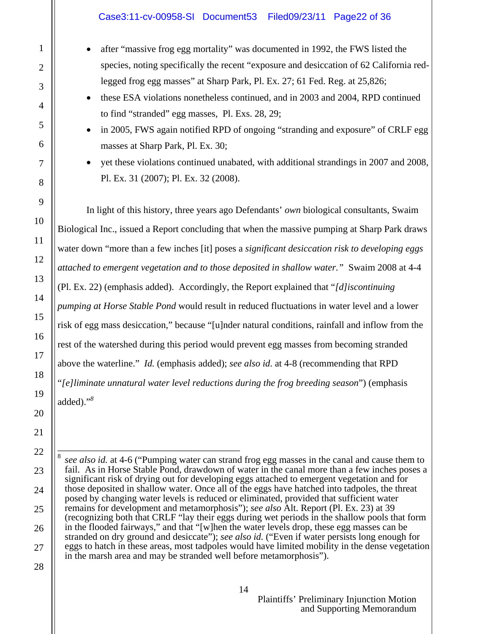- after "massive frog egg mortality" was documented in 1992, the FWS listed the species, noting specifically the recent "exposure and desiccation of 62 California redlegged frog egg masses" at Sharp Park, Pl. Ex. 27; 61 Fed. Reg. at 25,826;
- these ESA violations nonetheless continued, and in 2003 and 2004, RPD continued to find "stranded" egg masses, Pl. Exs. 28, 29;
- in 2005, FWS again notified RPD of ongoing "stranding and exposure" of CRLF egg masses at Sharp Park, Pl. Ex. 30;
- yet these violations continued unabated, with additional strandings in 2007 and 2008, Pl. Ex. 31 (2007); Pl. Ex. 32 (2008).

 In light of this history, three years ago Defendants' *own* biological consultants, Swaim Biological Inc., issued a Report concluding that when the massive pumping at Sharp Park draws water down "more than a few inches [it] poses a *significant desiccation risk to developing eggs attached to emergent vegetation and to those deposited in shallow water."* Swaim 2008 at 4-4 (Pl. Ex. 22) (emphasis added). Accordingly, the Report explained that "*[d]iscontinuing pumping at Horse Stable Pond* would result in reduced fluctuations in water level and a lower risk of egg mass desiccation," because "[u]nder natural conditions, rainfall and inflow from the rest of the watershed during this period would prevent egg masses from becoming stranded above the waterline." *Id.* (emphasis added); *see also id*. at 4-8 (recommending that RPD "*[e]liminate unnatural water level reductions during the frog breeding season*") (emphasis added)."*<sup>8</sup>*

28

8

1

———————————————————

*see also id.* at 4-6 ("Pumping water can strand frog egg masses in the canal and cause them to fail. As in Horse Stable Pond, drawdown of water in the canal more than a few inches poses a significant risk of drying out for developing eggs attached to emergent vegetation and for those deposited in shallow water. Once all of the eggs have hatched into tadpoles, the threat posed by changing water levels is reduced or eliminated, provided that sufficient water remains for development and metamorphosis"); *see also* Alt. Report (Pl. Ex. 23) at 39 (recognizing both that CRLF "lay their eggs during wet periods in the shallow pools that form in the flooded fairways," and that "[w]hen the water levels drop, these egg masses can be stranded on dry ground and desiccate"); *see also id.* ("Even if water persists long enough for eggs to hatch in these areas, most tadpoles would have limited mobility in the dense vegetation in the marsh area and may be stranded well before metamorphosis").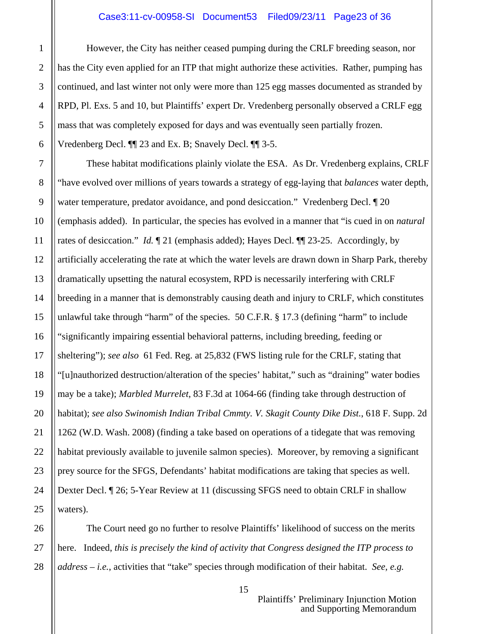#### Case3:11-cv-00958-SI Document53 Filed09/23/11 Page23 of 36

 However, the City has neither ceased pumping during the CRLF breeding season, nor has the City even applied for an ITP that might authorize these activities. Rather, pumping has continued, and last winter not only were more than 125 egg masses documented as stranded by RPD, Pl. Exs. 5 and 10, but Plaintiffs' expert Dr. Vredenberg personally observed a CRLF egg mass that was completely exposed for days and was eventually seen partially frozen. Vredenberg Decl. ¶¶ 23 and Ex. B; Snavely Decl. ¶¶ 3-5.

 These habitat modifications plainly violate the ESA. As Dr. Vredenberg explains, CRLF "have evolved over millions of years towards a strategy of egg-laying that *balances* water depth, water temperature, predator avoidance, and pond desiccation." Vredenberg Decl. [20] (emphasis added). In particular, the species has evolved in a manner that "is cued in on *natural* rates of desiccation." *Id.*  $\llbracket 21 \text{ (emphasis added)}$ ; Hayes Decl.  $\llbracket \llbracket 23-25$ . Accordingly, by artificially accelerating the rate at which the water levels are drawn down in Sharp Park, thereby dramatically upsetting the natural ecosystem, RPD is necessarily interfering with CRLF breeding in a manner that is demonstrably causing death and injury to CRLF, which constitutes unlawful take through "harm" of the species. 50 C.F.R. § 17.3 (defining "harm" to include "significantly impairing essential behavioral patterns, including breeding, feeding or sheltering"); *see also* 61 Fed. Reg. at 25,832 (FWS listing rule for the CRLF, stating that "[u]nauthorized destruction/alteration of the species' habitat," such as "draining" water bodies may be a take); *Marbled Murrelet*, 83 F.3d at 1064-66 (finding take through destruction of habitat); *see also Swinomish Indian Tribal Cmmty. V. Skagit County Dike Dist.*, 618 F. Supp. 2d 1262 (W.D. Wash. 2008) (finding a take based on operations of a tidegate that was removing habitat previously available to juvenile salmon species). Moreover, by removing a significant prey source for the SFGS, Defendants' habitat modifications are taking that species as well. Dexter Decl. ¶ 26; 5-Year Review at 11 (discussing SFGS need to obtain CRLF in shallow waters).

 The Court need go no further to resolve Plaintiffs' likelihood of success on the merits here. Indeed, *this is precisely the kind of activity that Congress designed the ITP process to address* – *i.e.*, activities that "take" species through modification of their habitat. *See, e.g.*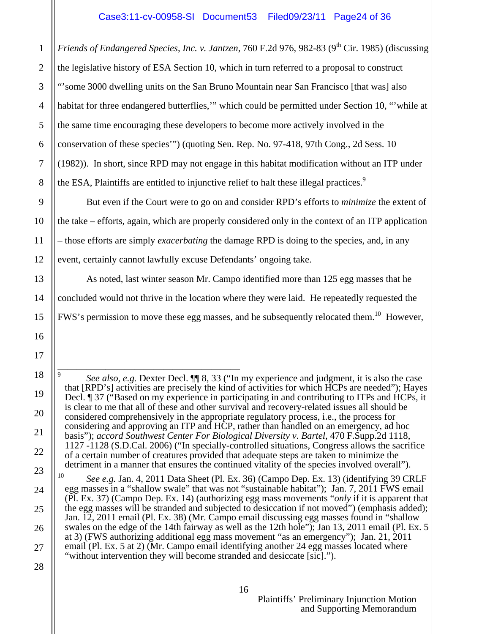*Friends of Endangered Species, Inc. v. Jantzen, 760 F.2d 976, 982-83 (9<sup>th</sup> Cir. 1985) (discussing* the legislative history of ESA Section 10, which in turn referred to a proposal to construct "'some 3000 dwelling units on the San Bruno Mountain near San Francisco [that was] also habitat for three endangered butterflies," which could be permitted under Section 10, "while at the same time encouraging these developers to become more actively involved in the conservation of these species'") (quoting Sen. Rep. No. 97-418, 97th Cong., 2d Sess. 10 (1982)). In short, since RPD may not engage in this habitat modification without an ITP under the ESA, Plaintiffs are entitled to injunctive relief to halt these illegal practices.<sup>9</sup>

 But even if the Court were to go on and consider RPD's efforts to *minimize* the extent of the take – efforts, again, which are properly considered only in the context of an ITP application – those efforts are simply *exacerbating* the damage RPD is doing to the species, and, in any event, certainly cannot lawfully excuse Defendants' ongoing take.

 As noted, last winter season Mr. Campo identified more than 125 egg masses that he concluded would not thrive in the location where they were laid. He repeatedly requested the FWS's permission to move these egg masses, and he subsequently relocated them.<sup>10</sup> However,

———————————————————

1

2

<sup>9</sup> *See also, e.g.* Dexter Decl.  $\P$  8, 33 ("In my experience and judgment, it is also the case that [RPD's] activities are precisely the kind of activities for which HCPs are needed"); Hayes Decl. ¶ 37 ("Based on my experience in participating in and contributing to ITPs and HCPs, it is clear to me that all of these and other survival and recovery-related issues all should be considered comprehensively in the appropriate regulatory process, i.e., the process for considering and approving an ITP and HCP, rather than handled on an emergency, ad hoc basis"); *accord Southwest Center For Biological Diversity v. Bartel*, 470 F.Supp.2d 1118, 1127 -1128 (S.D.Cal. 2006) ("In specially-controlled situations, Congress allows the sacrifice of a certain number of creatures provided that adequate steps are taken to minimize the detriment in a manner that ensures the continued vitality of the species involved overall").

<sup>10</sup> *See e.g.* Jan. 4, 2011 Data Sheet (Pl. Ex. 36) (Campo Dep. Ex. 13) (identifying 39 CRLF egg masses in a "shallow swale" that was not "sustainable habitat"); Jan. 7, 2011 FWS email (Pl. Ex. 37) (Campo Dep. Ex. 14) (authorizing egg mass movements "*only* if it is apparent that the egg masses will be stranded and subjected to desiccation if not moved") (emphasis added); Jan. 12, 2011 email (Pl. Ex. 38) (Mr. Campo email discussing egg masses found in "shallow swales on the edge of the 14th fairway as well as the 12th hole"); Jan 13, 2011 email (Pl. Ex. 5 at 3) (FWS authorizing additional egg mass movement "as an emergency"); Jan. 21, 2011 email (Pl. Ex. 5 at 2) (Mr. Campo email identifying another 24 egg masses located where "without intervention they will become stranded and desiccate [sic].").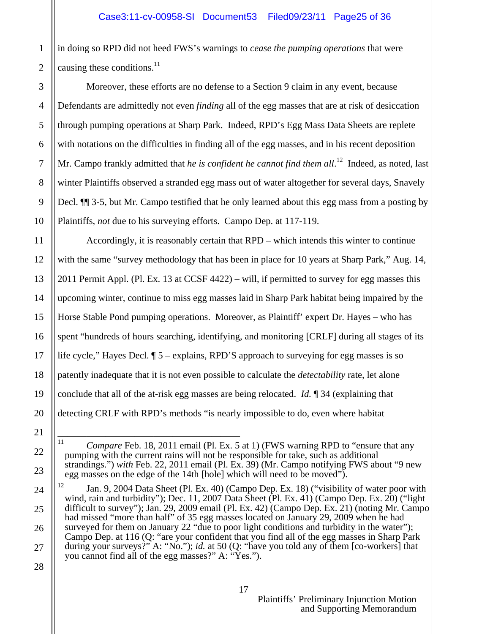in doing so RPD did not heed FWS's warnings to *cease the pumping operations* that were causing these conditions.<sup>11</sup>

 Moreover, these efforts are no defense to a Section 9 claim in any event, because Defendants are admittedly not even *finding* all of the egg masses that are at risk of desiccation through pumping operations at Sharp Park. Indeed, RPD's Egg Mass Data Sheets are replete with notations on the difficulties in finding all of the egg masses, and in his recent deposition Mr. Campo frankly admitted that *he is confident he cannot find them all*.<sup>12</sup> Indeed, as noted, last winter Plaintiffs observed a stranded egg mass out of water altogether for several days, Snavely Decl. ¶¶ 3-5, but Mr. Campo testified that he only learned about this egg mass from a posting by Plaintiffs, *not* due to his surveying efforts. Campo Dep. at 117-119.

 Accordingly, it is reasonably certain that RPD – which intends this winter to continue with the same "survey methodology that has been in place for 10 years at Sharp Park," Aug. 14, 2011 Permit Appl. (Pl. Ex. 13 at CCSF 4422) – will, if permitted to survey for egg masses this upcoming winter, continue to miss egg masses laid in Sharp Park habitat being impaired by the Horse Stable Pond pumping operations. Moreover, as Plaintiff' expert Dr. Hayes – who has spent "hundreds of hours searching, identifying, and monitoring [CRLF] during all stages of its life cycle," Hayes Decl. ¶ 5 – explains, RPD'S approach to surveying for egg masses is so patently inadequate that it is not even possible to calculate the *detectability* rate, let alone conclude that all of the at-risk egg masses are being relocated. *Id.* ¶ 34 (explaining that detecting CRLF with RPD's methods "is nearly impossible to do, even where habitat

<sup>———————————————————</sup>  <sup>11</sup> *Compare* Feb. 18, 2011 email (Pl. Ex. 5 at 1) (FWS warning RPD to "ensure that any pumping with the current rains will not be responsible for take, such as additional strandings.") *with* Feb. 22, 2011 email (Pl. Ex. 39) (Mr. Campo notifying FWS about "9 new egg masses on the edge of the 14th [hole] which will need to be moved").

<sup>&</sup>lt;sup>12</sup> Jan. 9, 2004 Data Sheet (Pl. Ex. 40) (Campo Dep. Ex. 18) ("visibility of water poor with wind, rain and turbidity"); Dec. 11, 2007 Data Sheet (Pl. Ex. 41) (Campo Dep. Ex. 20) ("light difficult to survey"); Jan. 29, 2009 email (Pl. Ex. 42) (Campo Dep. Ex. 21) (noting Mr. Campo had missed "more than half" of 35 egg masses located on January 29, 2009 when he had surveyed for them on January 22 "due to poor light conditions and turbidity in the water"); Campo Dep. at 116 (Q: "are your confident that you find all of the egg masses in Sharp Park during your surveys?" A: "No."); *id.* at 50 (Q: "have you told any of them [co-workers] that you cannot find all of the egg masses?" A: "Yes.").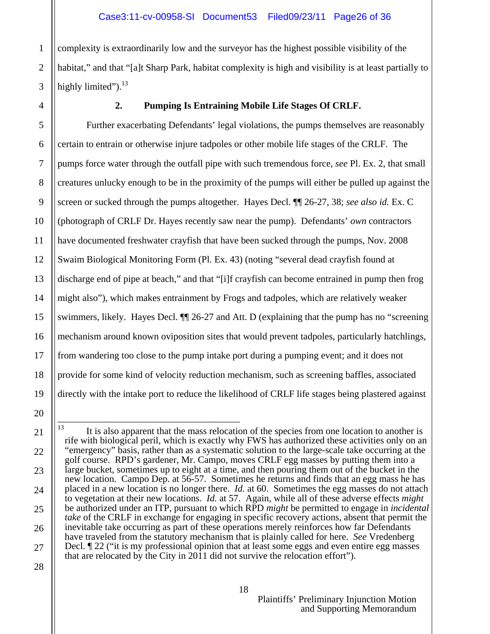1 2 3 complexity is extraordinarily low and the surveyor has the highest possible visibility of the habitat," and that "[a]t Sharp Park, habitat complexity is high and visibility is at least partially to highly limited"). $^{13}$ 

4

5

6

7

8

9

#### **2. Pumping Is Entraining Mobile Life Stages Of CRLF.**

 Further exacerbating Defendants' legal violations, the pumps themselves are reasonably certain to entrain or otherwise injure tadpoles or other mobile life stages of the CRLF. The pumps force water through the outfall pipe with such tremendous force, *see* Pl. Ex. 2, that small creatures unlucky enough to be in the proximity of the pumps will either be pulled up against the screen or sucked through the pumps altogether. Hayes Decl. ¶¶ 26-27, 38; *see also id.* Ex. C (photograph of CRLF Dr. Hayes recently saw near the pump). Defendants' *own* contractors have documented freshwater crayfish that have been sucked through the pumps, Nov. 2008 Swaim Biological Monitoring Form (Pl. Ex. 43) (noting "several dead crayfish found at discharge end of pipe at beach," and that "[i]f crayfish can become entrained in pump then frog might also"), which makes entrainment by Frogs and tadpoles, which are relatively weaker swimmers, likely. Hayes Decl. ¶¶ 26-27 and Att. D (explaining that the pump has no "screening mechanism around known oviposition sites that would prevent tadpoles, particularly hatchlings, from wandering too close to the pump intake port during a pumping event; and it does not provide for some kind of velocity reduction mechanism, such as screening baffles, associated directly with the intake port to reduce the likelihood of CRLF life stages being plastered against

<sup>———————————————————</sup>   $13$  It is also apparent that the mass relocation of the species from one location to another is rife with biological peril, which is exactly why FWS has authorized these activities only on an "emergency" basis, rather than as a systematic solution to the large-scale take occurring at the golf course. RPD's gardener, Mr. Campo, moves CRLF egg masses by putting them into a large bucket, sometimes up to eight at a time, and then pouring them out of the bucket in the new location. Campo Dep. at 56-57. Sometimes he returns and finds that an egg mass he has placed in a new location is no longer there. *Id.* at 60. Sometimes the egg masses do not attach to vegetation at their new locations. *Id.* at 57. Again, while all of these adverse effects *might* be authorized under an ITP, pursuant to which RPD *might* be permitted to engage in *incidental take* of the CRLF in exchange for engaging in specific recovery actions, absent that permit the inevitable take occurring as part of these operations merely reinforces how far Defendants have traveled from the statutory mechanism that is plainly called for here. *See* Vredenberg Decl. ¶ 22 ("it is my professional opinion that at least some eggs and even entire egg masses that are relocated by the City in 2011 did not survive the relocation effort").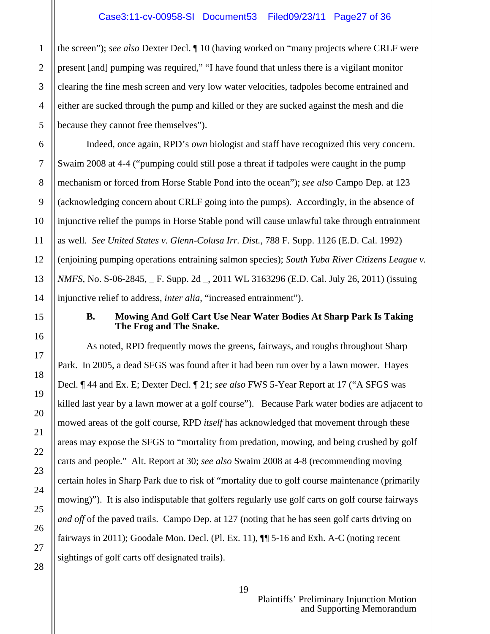the screen"); *see also* Dexter Decl. ¶ 10 (having worked on "many projects where CRLF were present [and] pumping was required," "I have found that unless there is a vigilant monitor clearing the fine mesh screen and very low water velocities, tadpoles become entrained and either are sucked through the pump and killed or they are sucked against the mesh and die because they cannot free themselves").

 Indeed, once again, RPD's *own* biologist and staff have recognized this very concern. Swaim 2008 at 4-4 ("pumping could still pose a threat if tadpoles were caught in the pump mechanism or forced from Horse Stable Pond into the ocean"); *see also* Campo Dep. at 123 (acknowledging concern about CRLF going into the pumps). Accordingly, in the absence of injunctive relief the pumps in Horse Stable pond will cause unlawful take through entrainment as well. *See United States v. Glenn-Colusa Irr. Dist.*, 788 F. Supp. 1126 (E.D. Cal. 1992) (enjoining pumping operations entraining salmon species); *South Yuba River Citizens League v. NMFS*, No. S-06-2845, \_ F. Supp. 2d \_, 2011 WL 3163296 (E.D. Cal. July 26, 2011) (issuing injunctive relief to address, *inter alia*, "increased entrainment").

#### **B. Mowing And Golf Cart Use Near Water Bodies At Sharp Park Is Taking The Frog and The Snake.**

As noted, RPD frequently mows the greens, fairways, and roughs throughout Sharp Park. In 2005, a dead SFGS was found after it had been run over by a lawn mower. Hayes Decl. ¶ 44 and Ex. E; Dexter Decl. ¶ 21; *see also* FWS 5-Year Report at 17 ("A SFGS was killed last year by a lawn mower at a golf course"). Because Park water bodies are adjacent to mowed areas of the golf course, RPD *itself* has acknowledged that movement through these areas may expose the SFGS to "mortality from predation, mowing, and being crushed by golf carts and people." Alt. Report at 30; *see also* Swaim 2008 at 4-8 (recommending moving certain holes in Sharp Park due to risk of "mortality due to golf course maintenance (primarily mowing)"). It is also indisputable that golfers regularly use golf carts on golf course fairways *and off* of the paved trails. Campo Dep. at 127 (noting that he has seen golf carts driving on fairways in 2011); Goodale Mon. Decl. (Pl. Ex. 11),  $\P$  5-16 and Exh. A-C (noting recent sightings of golf carts off designated trails).

1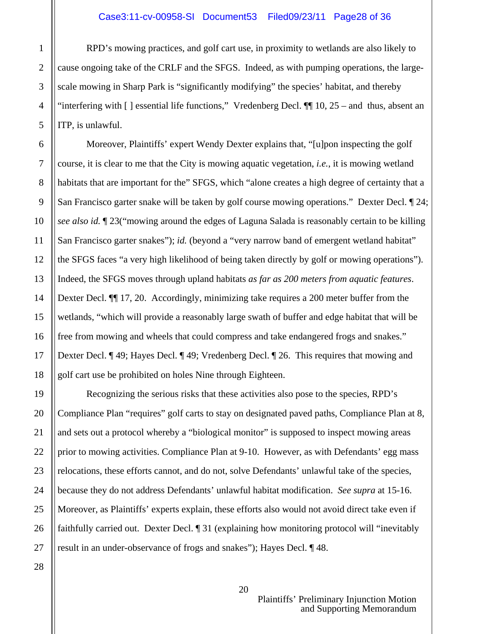RPD's mowing practices, and golf cart use, in proximity to wetlands are also likely to cause ongoing take of the CRLF and the SFGS. Indeed, as with pumping operations, the largescale mowing in Sharp Park is "significantly modifying" the species' habitat, and thereby "interfering with  $\lceil \cdot \rceil$  essential life functions," Vredenberg Decl.  $\lceil \lceil \cdot \rceil$  10, 25 – and thus, absent an ITP, is unlawful.

 Moreover, Plaintiffs' expert Wendy Dexter explains that, "[u]pon inspecting the golf course, it is clear to me that the City is mowing aquatic vegetation, *i.e.*, it is mowing wetland habitats that are important for the" SFGS, which "alone creates a high degree of certainty that a San Francisco garter snake will be taken by golf course mowing operations." Dexter Decl. ¶ 24; *see also id.* ¶ 23("mowing around the edges of Laguna Salada is reasonably certain to be killing San Francisco garter snakes"); *id.* (beyond a "very narrow band of emergent wetland habitat" the SFGS faces "a very high likelihood of being taken directly by golf or mowing operations"). Indeed, the SFGS moves through upland habitats *as far as 200 meters from aquatic features*. Dexter Decl. ¶¶ 17, 20. Accordingly, minimizing take requires a 200 meter buffer from the wetlands, "which will provide a reasonably large swath of buffer and edge habitat that will be free from mowing and wheels that could compress and take endangered frogs and snakes." Dexter Decl. ¶ 49; Hayes Decl. ¶ 49; Vredenberg Decl. ¶ 26. This requires that mowing and golf cart use be prohibited on holes Nine through Eighteen.

 Recognizing the serious risks that these activities also pose to the species, RPD's Compliance Plan "requires" golf carts to stay on designated paved paths, Compliance Plan at 8, and sets out a protocol whereby a "biological monitor" is supposed to inspect mowing areas prior to mowing activities. Compliance Plan at 9-10. However, as with Defendants' egg mass relocations, these efforts cannot, and do not, solve Defendants' unlawful take of the species, because they do not address Defendants' unlawful habitat modification. *See supra* at 15-16. Moreover, as Plaintiffs' experts explain, these efforts also would not avoid direct take even if faithfully carried out. Dexter Decl. ¶ 31 (explaining how monitoring protocol will "inevitably result in an under-observance of frogs and snakes"); Hayes Decl. ¶ 48.

1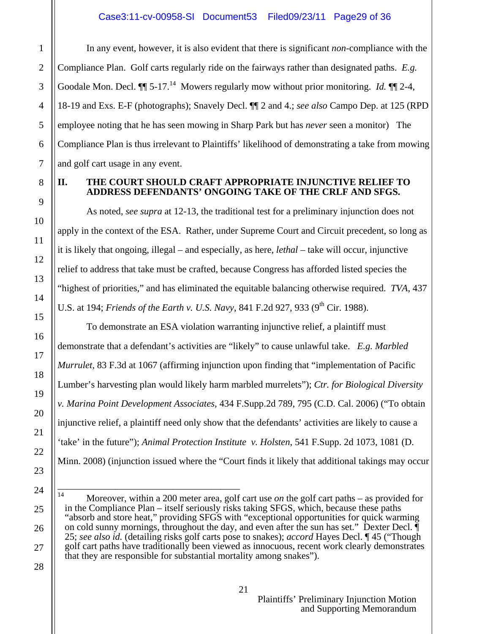In any event, however, it is also evident that there is significant *non*-compliance with the Compliance Plan. Golf carts regularly ride on the fairways rather than designated paths. *E.g.*  Goodale Mon. Decl.  $\P\P$  5-17.<sup>14</sup> Mowers regularly mow without prior monitoring. *Id.*  $\P$  2-4, 18-19 and Exs. E-F (photographs); Snavely Decl. ¶¶ 2 and 4.; *see also* Campo Dep. at 125 (RPD employee noting that he has seen mowing in Sharp Park but has *never* seen a monitor) The Compliance Plan is thus irrelevant to Plaintiffs' likelihood of demonstrating a take from mowing and golf cart usage in any event.

#### **II. THE COURT SHOULD CRAFT APPROPRIATE INJUNCTIVE RELIEF TO ADDRESS DEFENDANTS' ONGOING TAKE OF THE CRLF AND SFGS.**

As noted, *see supra* at 12-13, the traditional test for a preliminary injunction does not apply in the context of the ESA. Rather, under Supreme Court and Circuit precedent, so long as it is likely that ongoing, illegal – and especially, as here, *lethal* – take will occur, injunctive relief to address that take must be crafted, because Congress has afforded listed species the "highest of priorities," and has eliminated the equitable balancing otherwise required. *TVA*, 437 U.S. at 194; *Friends of the Earth v. U.S. Navy*, 841 F.2d 927, 933 (9<sup>th</sup> Cir. 1988).

 To demonstrate an ESA violation warranting injunctive relief, a plaintiff must demonstrate that a defendant's activities are "likely" to cause unlawful take. *E.g. Marbled Murrulet,* 83 F.3d at 1067 (affirming injunction upon finding that "implementation of Pacific Lumber's harvesting plan would likely harm marbled murrelets"); *Ctr. for Biological Diversity v. Marina Point Development Associates,* 434 F.Supp.2d 789, 795 (C.D. Cal. 2006) ("To obtain injunctive relief, a plaintiff need only show that the defendants' activities are likely to cause a 'take' in the future"); *Animal Protection Institute v. Holsten*, 541 F.Supp. 2d 1073, 1081 (D. Minn. 2008) (injunction issued where the "Court finds it likely that additional takings may occur

21

1

2

3

4

5

6

7

8

9

10

11

12

13

14

15

16

17

18

19

20

21

22

23

24

25

26

27

<sup>———————————————————</sup>  14 Moreover, within a 200 meter area, golf cart use *on* the golf cart paths – as provided for in the Compliance Plan – itself seriously risks taking SFGS, which, because these paths "absorb and store heat," providing SFGS with "exceptional opportunities for quick warming on cold sunny mornings, throughout the day, and even after the sun has set." Dexter Decl. ¶ 25; *see also id.* (detailing risks golf carts pose to snakes); *accord* Hayes Decl. ¶ 45 ("Though golf cart paths have traditionally been viewed as innocuous, recent work clearly demonstrates that they are responsible for substantial mortality among snakes").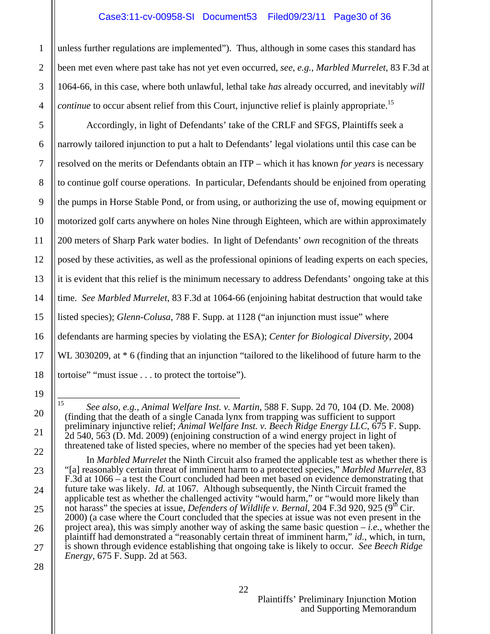unless further regulations are implemented"). Thus, although in some cases this standard has been met even where past take has not yet even occurred, *see, e.g.*, *Marbled Murrelet*, 83 F.3d at 1064-66, in this case, where both unlawful, lethal take *has* already occurred, and inevitably *will continue* to occur absent relief from this Court, injunctive relief is plainly appropriate.<sup>15</sup>

 Accordingly, in light of Defendants' take of the CRLF and SFGS, Plaintiffs seek a narrowly tailored injunction to put a halt to Defendants' legal violations until this case can be resolved on the merits or Defendants obtain an ITP – which it has known *for years* is necessary to continue golf course operations. In particular, Defendants should be enjoined from operating the pumps in Horse Stable Pond, or from using, or authorizing the use of, mowing equipment or motorized golf carts anywhere on holes Nine through Eighteen, which are within approximately 200 meters of Sharp Park water bodies. In light of Defendants' *own* recognition of the threats posed by these activities, as well as the professional opinions of leading experts on each species, it is evident that this relief is the minimum necessary to address Defendants' ongoing take at this time. *See Marbled Murrelet*, 83 F.3d at 1064-66 (enjoining habitat destruction that would take listed species); *Glenn-Colusa*, 788 F. Supp. at 1128 ("an injunction must issue" where defendants are harming species by violating the ESA); *Center for Biological Diversity*, 2004 WL 3030209, at  $*$  6 (finding that an injunction "tailored to the likelihood of future harm to the tortoise" "must issue . . . to protect the tortoise").

 In *Marbled Murrelet* the Ninth Circuit also framed the applicable test as whether there is "[a] reasonably certain threat of imminent harm to a protected species," *Marbled Murrelet,* 83 F.3d at 1066 – a test the Court concluded had been met based on evidence demonstrating that future take was likely. *Id.* at 1067. Although subsequently, the Ninth Circuit framed the applicable test as whether the challenged activity "would harm," or "would more likely than not harass" the species at issue, *Defenders of Wildlife v. Bernal*, 204 F.3d 920, 925 (9<sup>th</sup> Cir. 2000) (a case where the Court concluded that the species at issue was not even present in the project area), this was simply another way of asking the same basic question – *i.e.*, whether the plaintiff had demonstrated a "reasonably certain threat of imminent harm," *id.,* which, in turn, is shown through evidence establishing that ongoing take is likely to occur. *See Beech Ridge Energy*, 675 F. Supp. 2d at 563.

<sup>———————————————————</sup>  15 *See also, e.g., Animal Welfare Inst. v. Martin,* 588 F. Supp. 2d 70, 104 (D. Me. 2008) (finding that the death of a single Canada lynx from trapping was sufficient to support preliminary injunctive relief; *Animal Welfare Inst. v. Beech Ridge Energy LLC*, 675 F. Supp. 2d 540, 563 (D. Md. 2009) (enjoining construction of a wind energy project in light of threatened take of listed species, where no member of the species had yet been taken).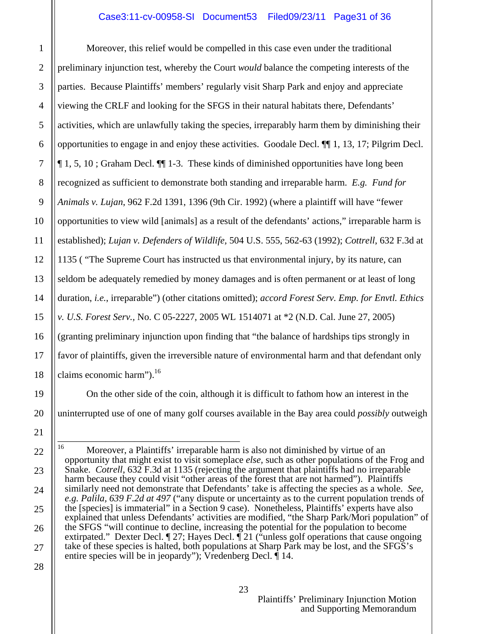1

2

3

4

5

6

7

8

9

10

11

12

13

14

15

16

17

18

19

20

21

22

23

24

25

26

27

28

Moreover, this relief would be compelled in this case even under the traditional preliminary injunction test, whereby the Court *would* balance the competing interests of the parties. Because Plaintiffs' members' regularly visit Sharp Park and enjoy and appreciate viewing the CRLF and looking for the SFGS in their natural habitats there, Defendants' activities, which are unlawfully taking the species, irreparably harm them by diminishing their opportunities to engage in and enjoy these activities. Goodale Decl. ¶¶ 1, 13, 17; Pilgrim Decl. ¶ 1, 5, 10 ; Graham Decl. ¶¶ 1-3. These kinds of diminished opportunities have long been recognized as sufficient to demonstrate both standing and irreparable harm. *E.g. Fund for Animals v. Lujan*, 962 F.2d 1391, 1396 (9th Cir. 1992) (where a plaintiff will have "fewer opportunities to view wild [animals] as a result of the defendants' actions," irreparable harm is established); *Lujan v. Defenders of Wildlife,* 504 U.S. 555, 562-63 (1992); *Cottrell*, 632 F.3d at 1135 ( "The Supreme Court has instructed us that environmental injury, by its nature, can seldom be adequately remedied by money damages and is often permanent or at least of long duration, *i.e.*, irreparable") (other citations omitted); *accord Forest Serv. Emp. for Envtl. Ethics v. U.S. Forest Serv.,* No. C 05-2227, 2005 WL 1514071 at \*2 (N.D. Cal. June 27, 2005) (granting preliminary injunction upon finding that "the balance of hardships tips strongly in favor of plaintiffs, given the irreversible nature of environmental harm and that defendant only claims economic harm").<sup>16</sup>

 On the other side of the coin, although it is difficult to fathom how an interest in the uninterrupted use of one of many golf courses available in the Bay area could *possibly* outweigh

<sup>———————————————————</sup>  <sup>16</sup> Moreover, a Plaintiffs' irreparable harm is also not diminished by virtue of an opportunity that might exist to visit someplace *else,* such as other populations of the Frog and Snake. *Cotrell*, 632 F.3d at 1135 (rejecting the argument that plaintiffs had no irreparable harm because they could visit "other areas of the forest that are not harmed"). Plaintiffs similarly need not demonstrate that Defendants' take is affecting the species as a whole. *See, e.g. Palila, 639 F.2d at 497* ("any dispute or uncertainty as to the current population trends of the [species] is immaterial" in a Section 9 case). Nonetheless, Plaintiffs' experts have also explained that unless Defendants' activities are modified, "the Sharp Park/Mori population" of the SFGS "will continue to decline, increasing the potential for the population to become extirpated." Dexter Decl. ¶ 27; Hayes Decl. ¶ 21 ("unless golf operations that cause ongoing take of these species is halted, both populations at Sharp Park may be lost, and the SFGS's entire species will be in jeopardy"); Vredenberg Decl.  $\oint$  14.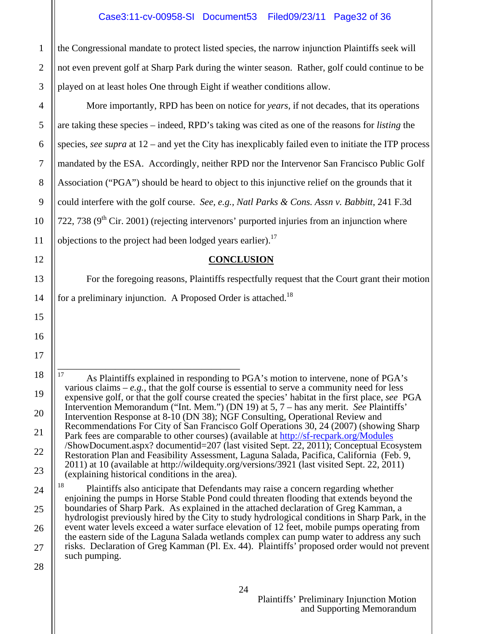the Congressional mandate to protect listed species, the narrow injunction Plaintiffs seek will not even prevent golf at Sharp Park during the winter season. Rather, golf could continue to be played on at least holes One through Eight if weather conditions allow.

 More importantly, RPD has been on notice for *years*, if not decades, that its operations are taking these species – indeed, RPD's taking was cited as one of the reasons for *listing* the species, *see supra* at 12 – and yet the City has inexplicably failed even to initiate the ITP process mandated by the ESA. Accordingly, neither RPD nor the Intervenor San Francisco Public Golf Association ("PGA") should be heard to object to this injunctive relief on the grounds that it could interfere with the golf course. *See, e.g., Natl Parks & Cons. Assn v. Babbitt*, 241 F.3d 722, 738 ( $9<sup>th</sup>$  Cir. 2001) (rejecting intervenors' purported injuries from an injunction where objections to the project had been lodged years earlier).<sup>17</sup>

## **CONCLUSION**

 For the foregoing reasons, Plaintiffs respectfully request that the Court grant their motion for a preliminary injunction. A Proposed Order is attached.<sup>18</sup>

——————————————————— <sup>17</sup> As Plaintiffs explained in responding to PGA's motion to intervene, none of PGA's various claims –  $e.g.,$  that the golf course is essential to serve a community need for less expensive golf, or that the golf course created the species' habitat in the first place, *see* PGA Intervention Memorandum ("Int. Mem.") (DN 19) at 5, 7 – has any merit. *See* Plaintiffs' Intervention Response at 8-10 (DN 38); NGF Consulting, Operational Review and Recommendations For City of San Francisco Golf Operations 30, 24 (2007) (showing Sharp Park fees are comparable to other courses) (available at http://sf-recpark.org/Modules /ShowDocument.aspx? documentid=207 (last visited Sept. 22, 2011); Conceptual Ecosystem Restoration Plan and Feasibility Assessment, Laguna Salada, Pacifica, California (Feb. 9, 2011) at 10 (available at http://wildequity.org/versions/3921 (last visited Sept. 22, 2011) (explaining historical conditions in the area). <sup>18</sup> Plaintiffs also anticipate that Defendants may raise a concern regarding whether

enjoining the pumps in Horse Stable Pond could threaten flooding that extends beyond the boundaries of Sharp Park. As explained in the attached declaration of Greg Kamman, a hydrologist previously hired by the City to study hydrological conditions in Sharp Park, in the event water levels exceed a water surface elevation of 12 feet, mobile pumps operating from the eastern side of the Laguna Salada wetlands complex can pump water to address any such risks. Declaration of Greg Kamman (Pl. Ex. 44). Plaintiffs' proposed order would not prevent such pumping.

4 5 6 7 8 9 10 11 12 13 14 15 16 17 18 19 20 21 22 23 24 25 26

1

2

3

28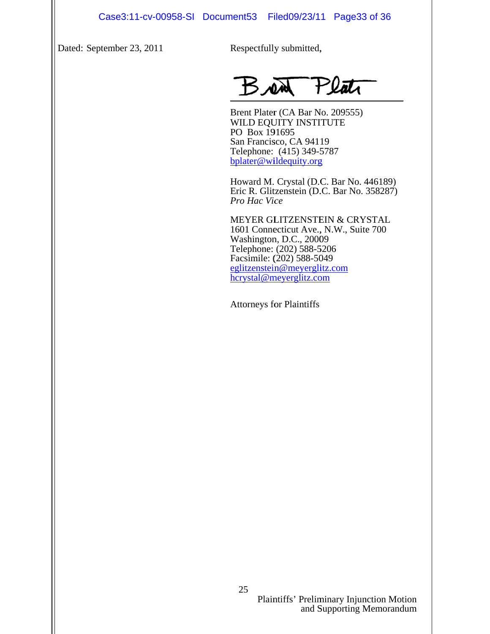Dated: S eptember 23, 2011

Respectfully submitted,

 $\overline{a}$ 

Brent Plater (CA Bar No. 209555) WILD EQUITY INSTITUTE PO Box 191695 San Francisco, CA 94119 Telephone: (415) 349-5 5787 bplater@wildequity.org

Howard M. Crystal (D.C. Bar No. 446189) Eric R. Glitzenstein (D.C. Bar No. 358287) *Pro Hac Vice* 

MEYER GL LITZENSTE EIN & CRY YSTAL 1601 Connecticut Ave., N.W., Suite 700 Washington, D.C., 20009 Telephone: (202) 588-5 5206 Facsimile: ( (202) 588-50 049 eglitzenstein@meyerglitz.com hcrystal@meyerglitz.com Case3:11-cv-00958-SI Document53 Filed09/23/11 Page33 of 36<br>
Nember 23, 2011<br>
Rent Plate (CA Rar No. 209555)<br>
WILD EQUITY INSTITUTE<br>
WILD EQUITY INSTITUTE<br>
PO Here 1916/096. (41) The Here Can Rot (451349)<br>
Telephone. (410)

Attorneys for Plaintiffs

Plaintiffs' Preliminary Injunction Motion and S Supporting M Memorandum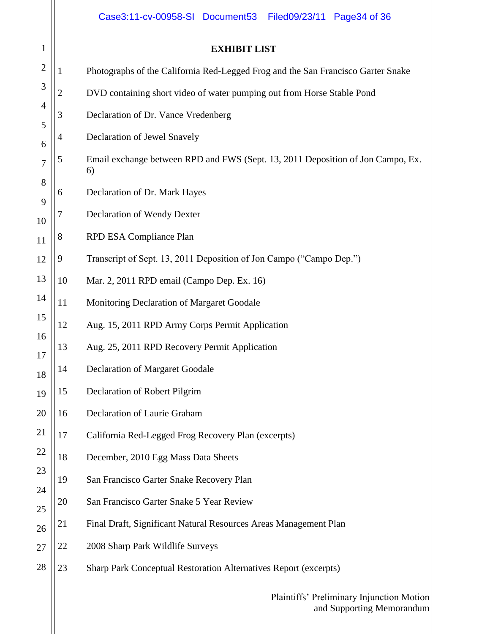|              |                | Case3:11-cv-00958-SI Document53<br>Filed09/23/11 Page34 of 36                         |
|--------------|----------------|---------------------------------------------------------------------------------------|
| $\mathbf{1}$ |                | <b>EXHIBIT LIST</b>                                                                   |
| $\mathbf{2}$ | 1              | Photographs of the California Red-Legged Frog and the San Francisco Garter Snake      |
| 3            | $\overline{2}$ | DVD containing short video of water pumping out from Horse Stable Pond                |
| 4            | 3              | Declaration of Dr. Vance Vredenberg                                                   |
| 5            | 4              | Declaration of Jewel Snavely                                                          |
| 6<br>7       | 5              | Email exchange between RPD and FWS (Sept. 13, 2011 Deposition of Jon Campo, Ex.<br>6) |
| 8            | 6              | Declaration of Dr. Mark Hayes                                                         |
| 9<br>10      | 7              | Declaration of Wendy Dexter                                                           |
| 11           | 8              | RPD ESA Compliance Plan                                                               |
| 12           | 9              | Transcript of Sept. 13, 2011 Deposition of Jon Campo ("Campo Dep.")                   |
| 13           | 10             | Mar. 2, 2011 RPD email (Campo Dep. Ex. 16)                                            |
| 14           | 11             | Monitoring Declaration of Margaret Goodale                                            |
| 15           | 12             | Aug. 15, 2011 RPD Army Corps Permit Application                                       |
| 16           | 13             | Aug. 25, 2011 RPD Recovery Permit Application                                         |
| 17<br>18     | 14             | <b>Declaration of Margaret Goodale</b>                                                |
| 19           | 15             | Declaration of Robert Pilgrim                                                         |
| 20           | 16             | Declaration of Laurie Graham                                                          |
| 21           | 17             | California Red-Legged Frog Recovery Plan (excerpts)                                   |
| 22           | 18             | December, 2010 Egg Mass Data Sheets                                                   |
| 23           | 19             | San Francisco Garter Snake Recovery Plan                                              |
| 24           | 20             | San Francisco Garter Snake 5 Year Review                                              |
| 25<br>26     | 21             | Final Draft, Significant Natural Resources Areas Management Plan                      |
| 27           | 22             | 2008 Sharp Park Wildlife Surveys                                                      |
| 28           | 23             | <b>Sharp Park Conceptual Restoration Alternatives Report (excerpts)</b>               |
|              |                | Plaintiffs' Preliminary Injunction Motion                                             |

and Supporting Memorandum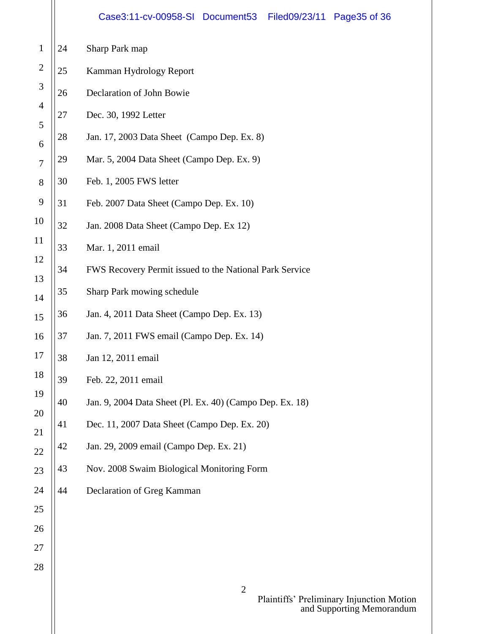|                |    | Case3:11-cv-00958-SI Document53<br>Filed09/23/11<br>Page35 of 36 |
|----------------|----|------------------------------------------------------------------|
| $\mathbf{1}$   | 24 | Sharp Park map                                                   |
| $\overline{2}$ | 25 | Kamman Hydrology Report                                          |
| 3              | 26 | Declaration of John Bowie                                        |
| $\overline{4}$ | 27 | Dec. 30, 1992 Letter                                             |
| 5<br>6         | 28 | Jan. 17, 2003 Data Sheet (Campo Dep. Ex. 8)                      |
| $\overline{7}$ | 29 | Mar. 5, 2004 Data Sheet (Campo Dep. Ex. 9)                       |
| 8              | 30 | Feb. 1, 2005 FWS letter                                          |
| 9              | 31 | Feb. 2007 Data Sheet (Campo Dep. Ex. 10)                         |
| 10             | 32 | Jan. 2008 Data Sheet (Campo Dep. Ex 12)                          |
| 11             | 33 | Mar. 1, 2011 email                                               |
| 12             | 34 | FWS Recovery Permit issued to the National Park Service          |
| 13<br>14       | 35 | Sharp Park mowing schedule                                       |
| 15             | 36 | Jan. 4, 2011 Data Sheet (Campo Dep. Ex. 13)                      |
| 16             | 37 | Jan. 7, 2011 FWS email (Campo Dep. Ex. 14)                       |
| 17             | 38 | Jan 12, 2011 email                                               |
| 18             | 39 | Feb. 22, 2011 email                                              |
| 19             | 40 | Jan. 9, 2004 Data Sheet (Pl. Ex. 40) (Campo Dep. Ex. 18)         |
| 20             | 41 | Dec. 11, 2007 Data Sheet (Campo Dep. Ex. 20)                     |
| 21<br>22       | 42 | Jan. 29, 2009 email (Campo Dep. Ex. 21)                          |
| 23             | 43 | Nov. 2008 Swaim Biological Monitoring Form                       |
| 24             | 44 | Declaration of Greg Kamman                                       |
| 25             |    |                                                                  |
| 26             |    |                                                                  |
| 27             |    |                                                                  |
| 28             |    |                                                                  |
|                |    | $\overline{2}$<br>Plaintiffs' Preliminary Injunction Motion      |

and Supporting Memorandum